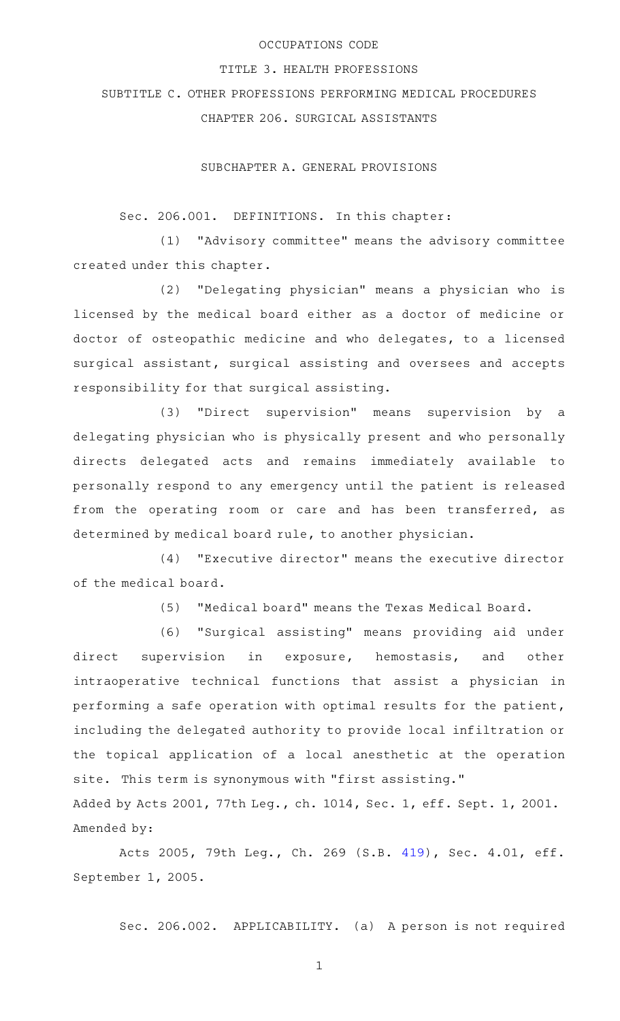## OCCUPATIONS CODE

#### TITLE 3. HEALTH PROFESSIONS

SUBTITLE C. OTHER PROFESSIONS PERFORMING MEDICAL PROCEDURES

CHAPTER 206. SURGICAL ASSISTANTS

SUBCHAPTER A. GENERAL PROVISIONS

Sec. 206.001. DEFINITIONS. In this chapter:

(1) "Advisory committee" means the advisory committee created under this chapter.

(2) "Delegating physician" means a physician who is licensed by the medical board either as a doctor of medicine or doctor of osteopathic medicine and who delegates, to a licensed surgical assistant, surgical assisting and oversees and accepts responsibility for that surgical assisting.

(3) "Direct supervision" means supervision by a delegating physician who is physically present and who personally directs delegated acts and remains immediately available to personally respond to any emergency until the patient is released from the operating room or care and has been transferred, as determined by medical board rule, to another physician.

(4) "Executive director" means the executive director of the medical board.

(5) "Medical board" means the Texas Medical Board.

(6) "Surgical assisting" means providing aid under direct supervision in exposure, hemostasis, and other intraoperative technical functions that assist a physician in performing a safe operation with optimal results for the patient, including the delegated authority to provide local infiltration or the topical application of a local anesthetic at the operation site. This term is synonymous with "first assisting." Added by Acts 2001, 77th Leg., ch. 1014, Sec. 1, eff. Sept. 1, 2001.

Amended by:

Acts 2005, 79th Leg., Ch. 269 (S.B. [419](http://www.legis.state.tx.us/tlodocs/79R/billtext/html/SB00419F.HTM)), Sec. 4.01, eff. September 1, 2005.

Sec. 206.002. APPLICABILITY. (a) A person is not required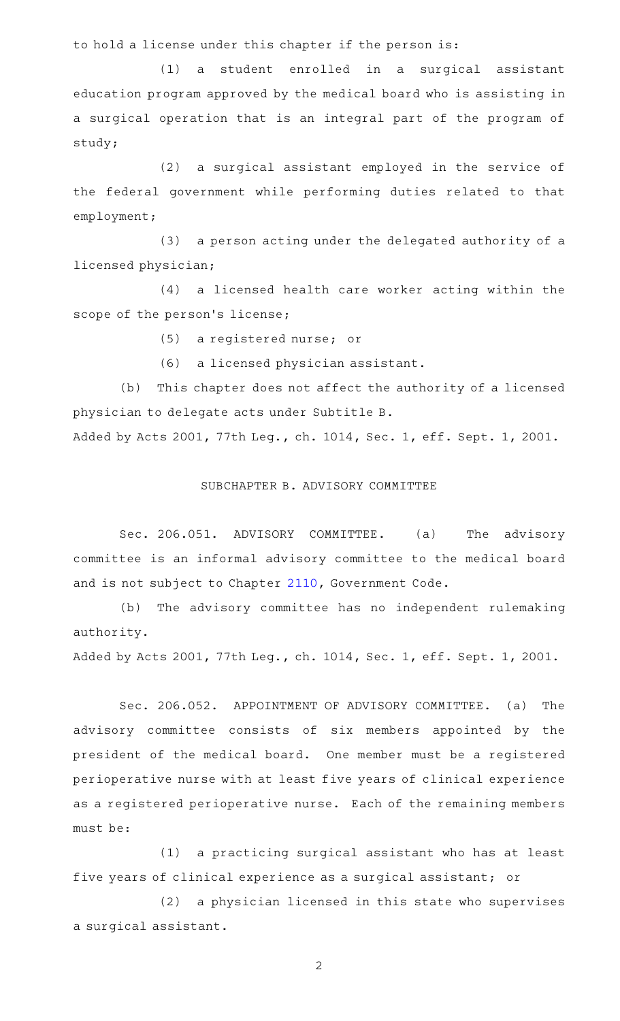to hold a license under this chapter if the person is:

(1) a student enrolled in a surgical assistant education program approved by the medical board who is assisting in a surgical operation that is an integral part of the program of study;

(2) a surgical assistant employed in the service of the federal government while performing duties related to that employment;

(3) a person acting under the delegated authority of a licensed physician;

(4) a licensed health care worker acting within the scope of the person's license;

(5) a registered nurse; or

(6) a licensed physician assistant.

(b) This chapter does not affect the authority of a licensed physician to delegate acts under Subtitle B.

Added by Acts 2001, 77th Leg., ch. 1014, Sec. 1, eff. Sept. 1, 2001.

### SUBCHAPTER B. ADVISORY COMMITTEE

Sec. 206.051. ADVISORY COMMITTEE. (a) The advisory committee is an informal advisory committee to the medical board and is not subject to Chapter [2110,](http://www.statutes.legis.state.tx.us/GetStatute.aspx?Code=GV&Value=2110) Government Code.

(b) The advisory committee has no independent rulemaking authority.

Added by Acts 2001, 77th Leg., ch. 1014, Sec. 1, eff. Sept. 1, 2001.

Sec. 206.052. APPOINTMENT OF ADVISORY COMMITTEE. (a) The advisory committee consists of six members appointed by the president of the medical board. One member must be a registered perioperative nurse with at least five years of clinical experience as a registered perioperative nurse. Each of the remaining members must be:

(1) a practicing surgical assistant who has at least five years of clinical experience as a surgical assistant; or

(2) a physician licensed in this state who supervises a surgical assistant.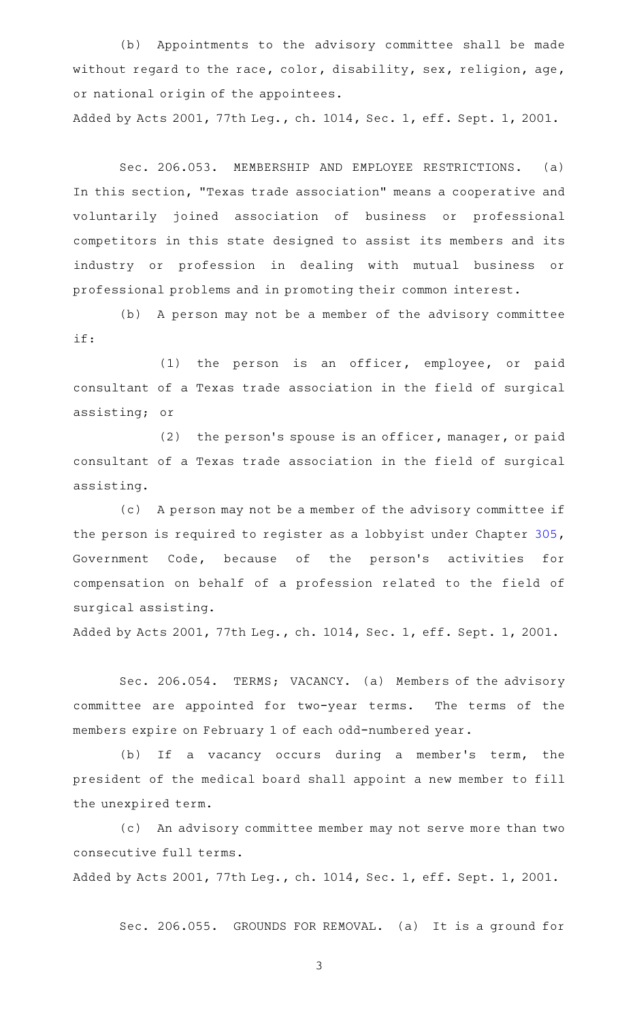(b) Appointments to the advisory committee shall be made without regard to the race, color, disability, sex, religion, age, or national origin of the appointees. Added by Acts 2001, 77th Leg., ch. 1014, Sec. 1, eff. Sept. 1, 2001.

Sec. 206.053. MEMBERSHIP AND EMPLOYEE RESTRICTIONS. (a) In this section, "Texas trade association" means a cooperative and voluntarily joined association of business or professional competitors in this state designed to assist its members and its industry or profession in dealing with mutual business or professional problems and in promoting their common interest.

(b) A person may not be a member of the advisory committee if:

(1) the person is an officer, employee, or paid consultant of a Texas trade association in the field of surgical assisting; or

 $(2)$  the person's spouse is an officer, manager, or paid consultant of a Texas trade association in the field of surgical assisting.

(c) A person may not be a member of the advisory committee if the person is required to register as a lobbyist under Chapter [305](http://www.statutes.legis.state.tx.us/GetStatute.aspx?Code=GV&Value=305), Government Code, because of the person's activities for compensation on behalf of a profession related to the field of surgical assisting.

Added by Acts 2001, 77th Leg., ch. 1014, Sec. 1, eff. Sept. 1, 2001.

Sec. 206.054. TERMS; VACANCY. (a) Members of the advisory committee are appointed for two-year terms. The terms of the members expire on February 1 of each odd-numbered year.

(b) If a vacancy occurs during a member's term, the president of the medical board shall appoint a new member to fill the unexpired term.

(c) An advisory committee member may not serve more than two consecutive full terms.

Added by Acts 2001, 77th Leg., ch. 1014, Sec. 1, eff. Sept. 1, 2001.

Sec. 206.055. GROUNDS FOR REMOVAL. (a) It is a ground for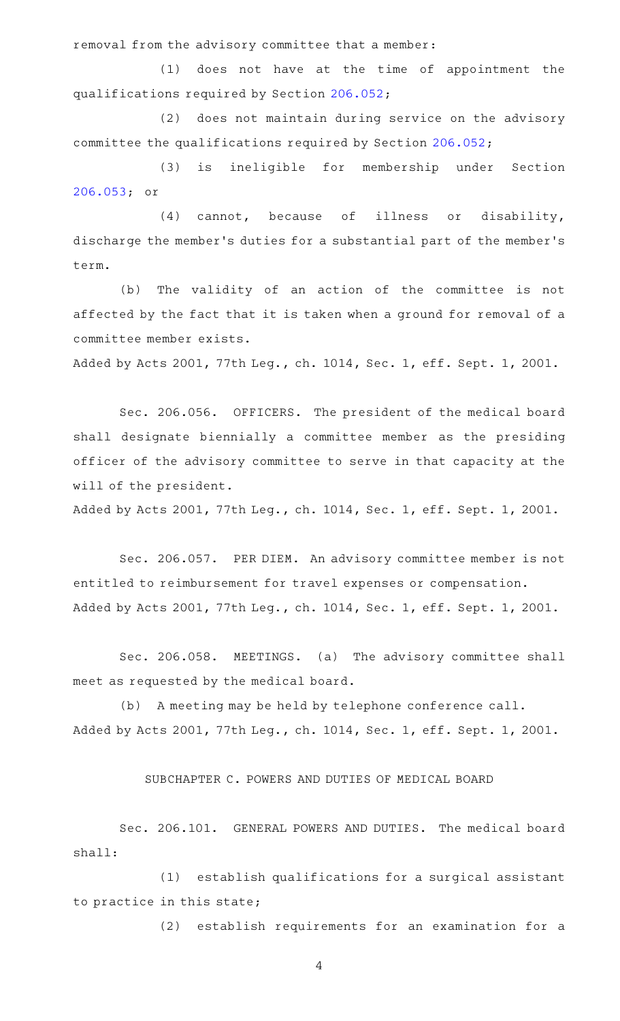removal from the advisory committee that a member:

 $(1)$  does not have at the time of appointment the qualifications required by Section [206.052;](http://www.statutes.legis.state.tx.us/GetStatute.aspx?Code=OC&Value=206.052)

(2) does not maintain during service on the advisory committee the qualifications required by Section [206.052;](http://www.statutes.legis.state.tx.us/GetStatute.aspx?Code=OC&Value=206.052)

(3) is ineligible for membership under Section [206.053;](http://www.statutes.legis.state.tx.us/GetStatute.aspx?Code=OC&Value=206.053) or

 $(4)$  cannot, because of illness or disability, discharge the member 's duties for a substantial part of the member 's term.

(b) The validity of an action of the committee is not affected by the fact that it is taken when a ground for removal of a committee member exists.

Added by Acts 2001, 77th Leg., ch. 1014, Sec. 1, eff. Sept. 1, 2001.

Sec. 206.056. OFFICERS. The president of the medical board shall designate biennially a committee member as the presiding officer of the advisory committee to serve in that capacity at the will of the president.

Added by Acts 2001, 77th Leg., ch. 1014, Sec. 1, eff. Sept. 1, 2001.

Sec. 206.057. PER DIEM. An advisory committee member is not entitled to reimbursement for travel expenses or compensation. Added by Acts 2001, 77th Leg., ch. 1014, Sec. 1, eff. Sept. 1, 2001.

Sec. 206.058. MEETINGS. (a) The advisory committee shall meet as requested by the medical board.

(b) A meeting may be held by telephone conference call. Added by Acts 2001, 77th Leg., ch. 1014, Sec. 1, eff. Sept. 1, 2001.

SUBCHAPTER C. POWERS AND DUTIES OF MEDICAL BOARD

Sec. 206.101. GENERAL POWERS AND DUTIES. The medical board shall:

(1) establish qualifications for a surgical assistant to practice in this state;

(2) establish requirements for an examination for a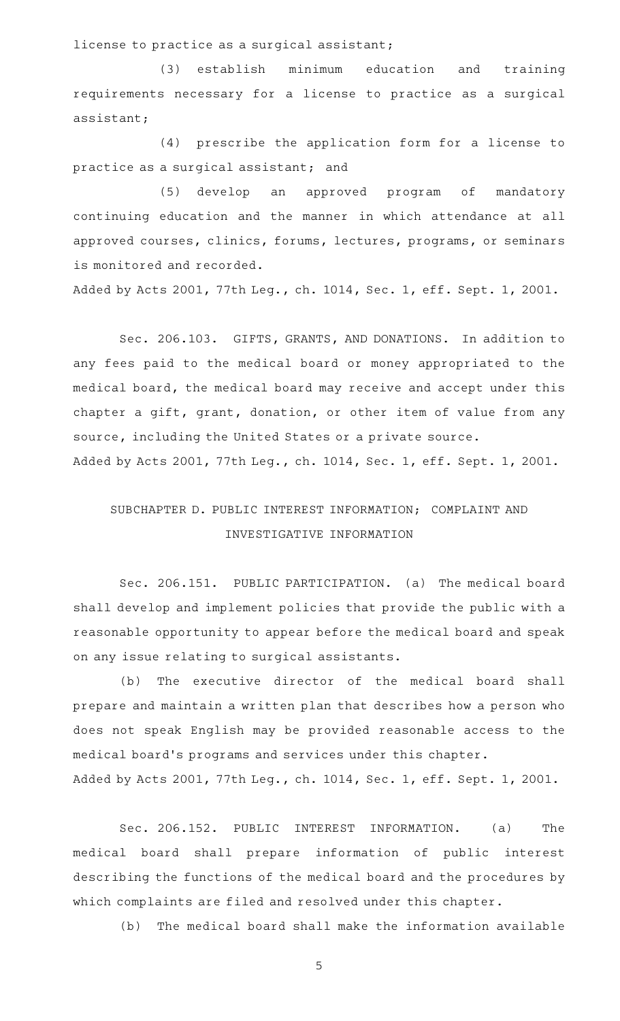license to practice as a surgical assistant;

(3) establish minimum education and training requirements necessary for a license to practice as a surgical assistant;

(4) prescribe the application form for a license to practice as a surgical assistant; and

(5) develop an approved program of mandatory continuing education and the manner in which attendance at all approved courses, clinics, forums, lectures, programs, or seminars is monitored and recorded.

Added by Acts 2001, 77th Leg., ch. 1014, Sec. 1, eff. Sept. 1, 2001.

Sec. 206.103. GIFTS, GRANTS, AND DONATIONS. In addition to any fees paid to the medical board or money appropriated to the medical board, the medical board may receive and accept under this chapter a gift, grant, donation, or other item of value from any source, including the United States or a private source. Added by Acts 2001, 77th Leg., ch. 1014, Sec. 1, eff. Sept. 1, 2001.

# SUBCHAPTER D. PUBLIC INTEREST INFORMATION; COMPLAINT AND INVESTIGATIVE INFORMATION

Sec. 206.151. PUBLIC PARTICIPATION. (a) The medical board shall develop and implement policies that provide the public with a reasonable opportunity to appear before the medical board and speak on any issue relating to surgical assistants.

(b) The executive director of the medical board shall prepare and maintain a written plan that describes how a person who does not speak English may be provided reasonable access to the medical board's programs and services under this chapter. Added by Acts 2001, 77th Leg., ch. 1014, Sec. 1, eff. Sept. 1, 2001.

Sec. 206.152. PUBLIC INTEREST INFORMATION. (a) The medical board shall prepare information of public interest describing the functions of the medical board and the procedures by which complaints are filed and resolved under this chapter.

(b) The medical board shall make the information available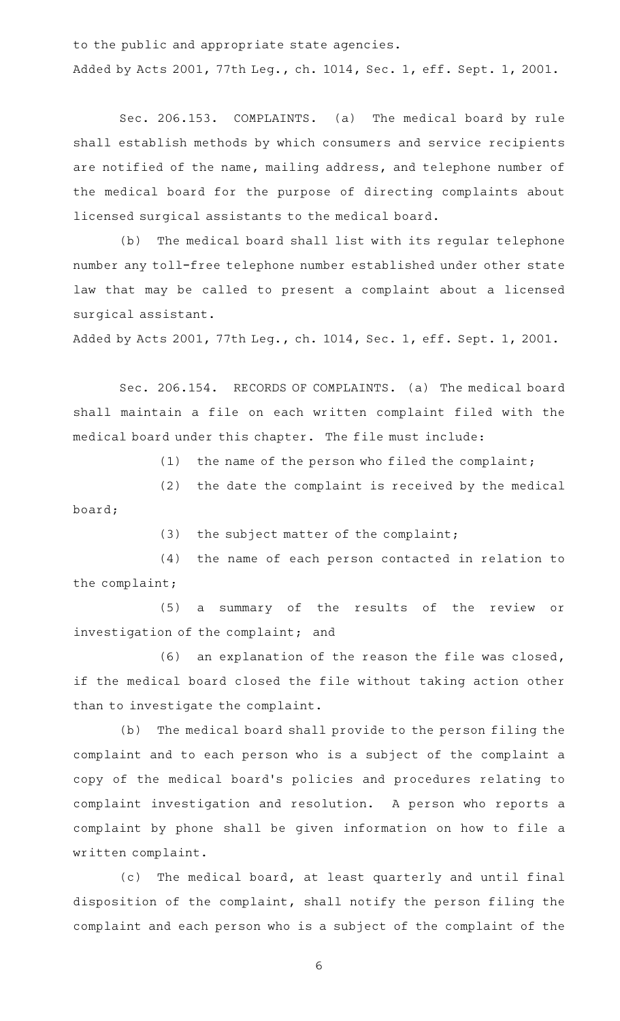to the public and appropriate state agencies. Added by Acts 2001, 77th Leg., ch. 1014, Sec. 1, eff. Sept. 1, 2001.

Sec. 206.153. COMPLAINTS. (a) The medical board by rule shall establish methods by which consumers and service recipients are notified of the name, mailing address, and telephone number of the medical board for the purpose of directing complaints about licensed surgical assistants to the medical board.

(b) The medical board shall list with its regular telephone number any toll-free telephone number established under other state law that may be called to present a complaint about a licensed surgical assistant.

Added by Acts 2001, 77th Leg., ch. 1014, Sec. 1, eff. Sept. 1, 2001.

Sec. 206.154. RECORDS OF COMPLAINTS. (a) The medical board shall maintain a file on each written complaint filed with the medical board under this chapter. The file must include:

(1) the name of the person who filed the complaint;

 $(2)$  the date the complaint is received by the medical board;

 $(3)$  the subject matter of the complaint;

(4) the name of each person contacted in relation to the complaint;

(5) a summary of the results of the review or investigation of the complaint; and

 $(6)$  an explanation of the reason the file was closed, if the medical board closed the file without taking action other than to investigate the complaint.

(b) The medical board shall provide to the person filing the complaint and to each person who is a subject of the complaint a copy of the medical board 's policies and procedures relating to complaint investigation and resolution. A person who reports a complaint by phone shall be given information on how to file a written complaint.

(c) The medical board, at least quarterly and until final disposition of the complaint, shall notify the person filing the complaint and each person who is a subject of the complaint of the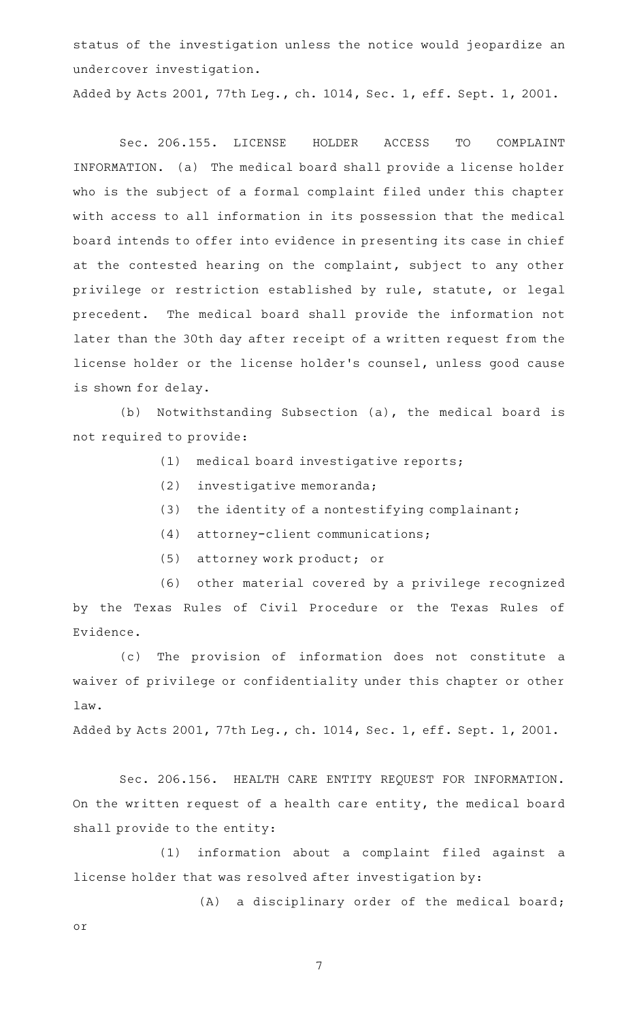status of the investigation unless the notice would jeopardize an undercover investigation.

Added by Acts 2001, 77th Leg., ch. 1014, Sec. 1, eff. Sept. 1, 2001.

Sec. 206.155. LICENSE HOLDER ACCESS TO COMPLAINT INFORMATION. (a) The medical board shall provide a license holder who is the subject of a formal complaint filed under this chapter with access to all information in its possession that the medical board intends to offer into evidence in presenting its case in chief at the contested hearing on the complaint, subject to any other privilege or restriction established by rule, statute, or legal precedent. The medical board shall provide the information not later than the 30th day after receipt of a written request from the license holder or the license holder 's counsel, unless good cause is shown for delay.

(b) Notwithstanding Subsection (a), the medical board is not required to provide:

- (1) medical board investigative reports;
- (2) investigative memoranda;
- (3) the identity of a nontestifying complainant;
- (4) attorney-client communications;
- (5) attorney work product; or

(6) other material covered by a privilege recognized by the Texas Rules of Civil Procedure or the Texas Rules of Evidence.

(c) The provision of information does not constitute a waiver of privilege or confidentiality under this chapter or other law.

Added by Acts 2001, 77th Leg., ch. 1014, Sec. 1, eff. Sept. 1, 2001.

Sec. 206.156. HEALTH CARE ENTITY REQUEST FOR INFORMATION. On the written request of a health care entity, the medical board shall provide to the entity:

(1) information about a complaint filed against a license holder that was resolved after investigation by:

(A) a disciplinary order of the medical board; or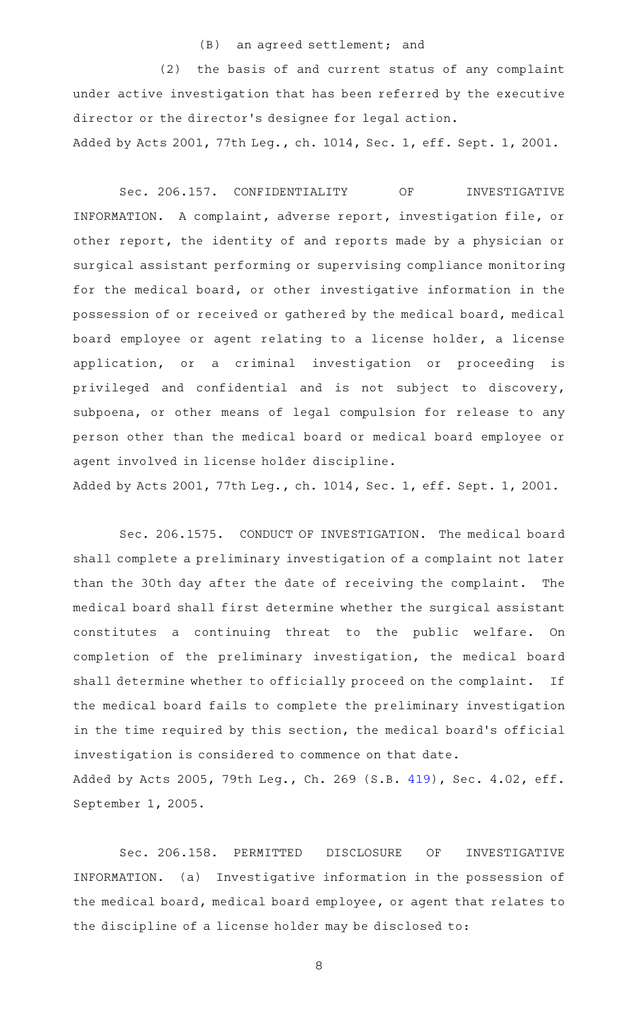#### (B) an agreed settlement; and

 $(2)$  the basis of and current status of any complaint under active investigation that has been referred by the executive director or the director 's designee for legal action. Added by Acts 2001, 77th Leg., ch. 1014, Sec. 1, eff. Sept. 1, 2001.

Sec. 206.157. CONFIDENTIALITY OF INVESTIGATIVE INFORMATION. A complaint, adverse report, investigation file, or other report, the identity of and reports made by a physician or surgical assistant performing or supervising compliance monitoring for the medical board, or other investigative information in the possession of or received or gathered by the medical board, medical board employee or agent relating to a license holder, a license application, or a criminal investigation or proceeding is privileged and confidential and is not subject to discovery, subpoena, or other means of legal compulsion for release to any person other than the medical board or medical board employee or agent involved in license holder discipline.

Added by Acts 2001, 77th Leg., ch. 1014, Sec. 1, eff. Sept. 1, 2001.

Sec. 206.1575. CONDUCT OF INVESTIGATION. The medical board shall complete a preliminary investigation of a complaint not later than the 30th day after the date of receiving the complaint. The medical board shall first determine whether the surgical assistant constitutes a continuing threat to the public welfare. On completion of the preliminary investigation, the medical board shall determine whether to officially proceed on the complaint. If the medical board fails to complete the preliminary investigation in the time required by this section, the medical board's official investigation is considered to commence on that date. Added by Acts 2005, 79th Leg., Ch. 269 (S.B. [419](http://www.legis.state.tx.us/tlodocs/79R/billtext/html/SB00419F.HTM)), Sec. 4.02, eff. September 1, 2005.

Sec. 206.158. PERMITTED DISCLOSURE OF INVESTIGATIVE INFORMATION. (a) Investigative information in the possession of the medical board, medical board employee, or agent that relates to the discipline of a license holder may be disclosed to: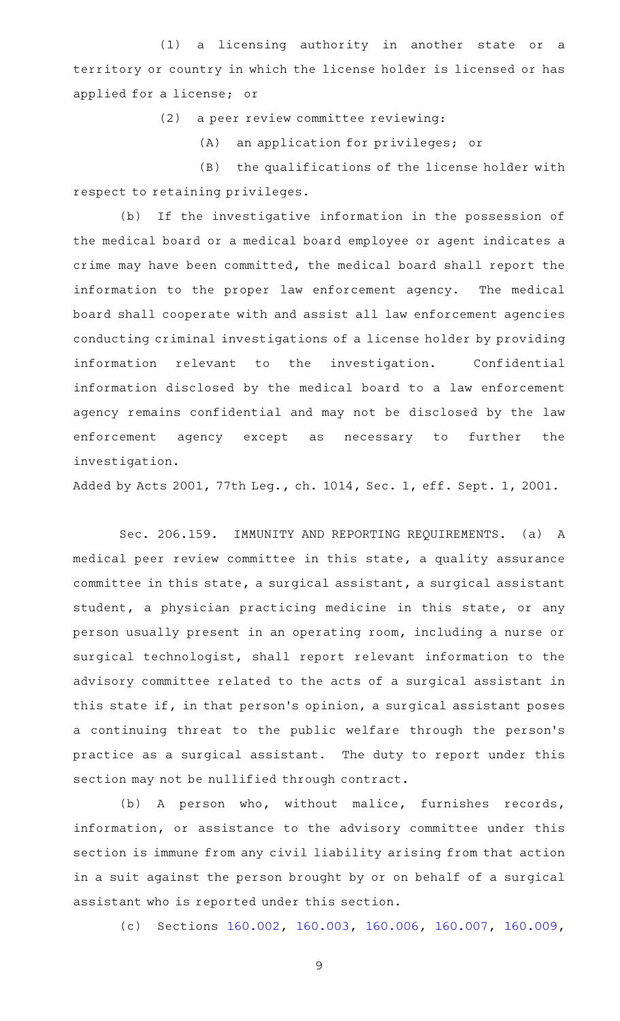(1) a licensing authority in another state or a territory or country in which the license holder is licensed or has applied for a license; or

(2) a peer review committee reviewing:

 $(A)$  an application for privileges; or

(B) the qualifications of the license holder with respect to retaining privileges.

(b) If the investigative information in the possession of the medical board or a medical board employee or agent indicates a crime may have been committed, the medical board shall report the information to the proper law enforcement agency. The medical board shall cooperate with and assist all law enforcement agencies conducting criminal investigations of a license holder by providing information relevant to the investigation. Confidential information disclosed by the medical board to a law enforcement agency remains confidential and may not be disclosed by the law enforcement agency except as necessary to further the investigation.

Added by Acts 2001, 77th Leg., ch. 1014, Sec. 1, eff. Sept. 1, 2001.

Sec. 206.159. IMMUNITY AND REPORTING REQUIREMENTS. (a) A medical peer review committee in this state, a quality assurance committee in this state, a surgical assistant, a surgical assistant student, a physician practicing medicine in this state, or any person usually present in an operating room, including a nurse or surgical technologist, shall report relevant information to the advisory committee related to the acts of a surgical assistant in this state if, in that person 's opinion, a surgical assistant poses a continuing threat to the public welfare through the person 's practice as a surgical assistant. The duty to report under this section may not be nullified through contract.

(b) A person who, without malice, furnishes records, information, or assistance to the advisory committee under this section is immune from any civil liability arising from that action in a suit against the person brought by or on behalf of a surgical assistant who is reported under this section.

(c) Sections [160.002](http://www.statutes.legis.state.tx.us/GetStatute.aspx?Code=OC&Value=160.002), [160.003,](http://www.statutes.legis.state.tx.us/GetStatute.aspx?Code=OC&Value=160.003) [160.006](http://www.statutes.legis.state.tx.us/GetStatute.aspx?Code=OC&Value=160.006), [160.007,](http://www.statutes.legis.state.tx.us/GetStatute.aspx?Code=OC&Value=160.007) [160.009](http://www.statutes.legis.state.tx.us/GetStatute.aspx?Code=OC&Value=160.009),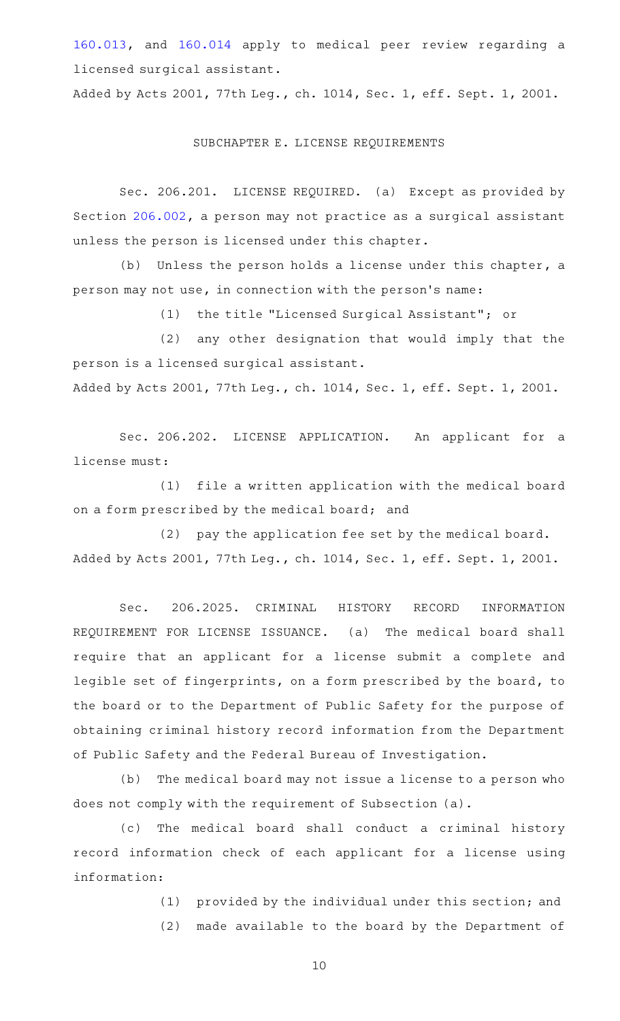[160.013,](http://www.statutes.legis.state.tx.us/GetStatute.aspx?Code=OC&Value=160.013) and [160.014](http://www.statutes.legis.state.tx.us/GetStatute.aspx?Code=OC&Value=160.014) apply to medical peer review regarding a licensed surgical assistant.

Added by Acts 2001, 77th Leg., ch. 1014, Sec. 1, eff. Sept. 1, 2001.

#### SUBCHAPTER E. LICENSE REQUIREMENTS

Sec. 206.201. LICENSE REQUIRED. (a) Except as provided by Section [206.002](http://www.statutes.legis.state.tx.us/GetStatute.aspx?Code=OC&Value=206.002), a person may not practice as a surgical assistant unless the person is licensed under this chapter.

 $(b)$  Unless the person holds a license under this chapter, a person may not use, in connection with the person 's name:

(1) the title "Licensed Surgical Assistant"; or

(2) any other designation that would imply that the person is a licensed surgical assistant. Added by Acts 2001, 77th Leg., ch. 1014, Sec. 1, eff. Sept. 1, 2001.

Sec. 206.202. LICENSE APPLICATION. An applicant for a

license must: (1) file a written application with the medical board

on a form prescribed by the medical board; and

(2) pay the application fee set by the medical board. Added by Acts 2001, 77th Leg., ch. 1014, Sec. 1, eff. Sept. 1, 2001.

Sec. 206.2025. CRIMINAL HISTORY RECORD INFORMATION REQUIREMENT FOR LICENSE ISSUANCE. (a) The medical board shall require that an applicant for a license submit a complete and legible set of fingerprints, on a form prescribed by the board, to the board or to the Department of Public Safety for the purpose of obtaining criminal history record information from the Department of Public Safety and the Federal Bureau of Investigation.

(b) The medical board may not issue a license to a person who does not comply with the requirement of Subsection (a).

(c) The medical board shall conduct a criminal history record information check of each applicant for a license using information:

(1) provided by the individual under this section; and

(2) made available to the board by the Department of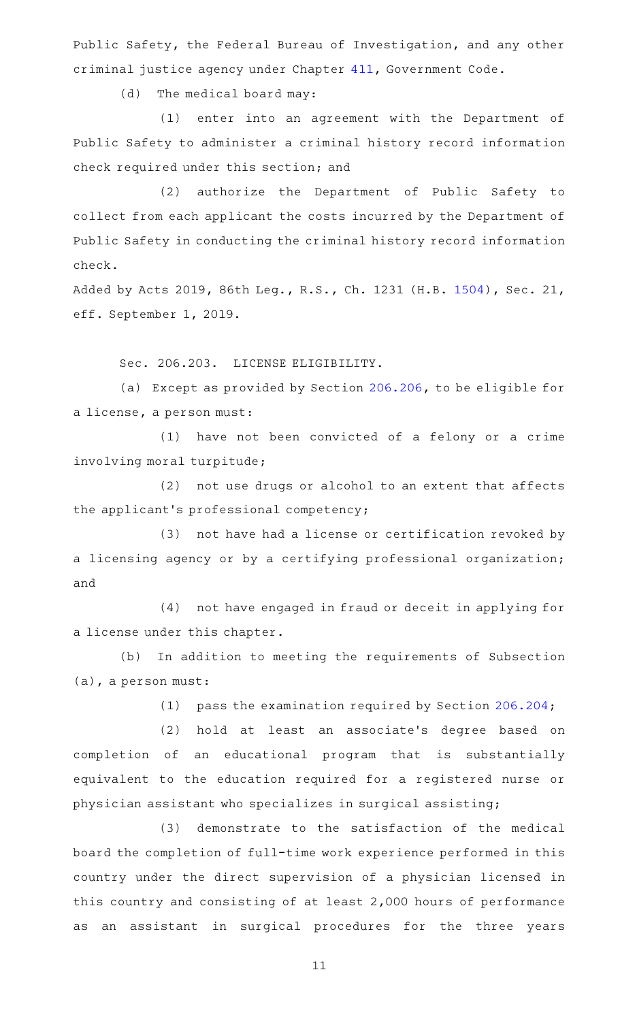Public Safety, the Federal Bureau of Investigation, and any other criminal justice agency under Chapter [411,](http://www.statutes.legis.state.tx.us/GetStatute.aspx?Code=GV&Value=411) Government Code.

(d) The medical board may:

(1) enter into an agreement with the Department of Public Safety to administer a criminal history record information check required under this section; and

(2) authorize the Department of Public Safety to collect from each applicant the costs incurred by the Department of Public Safety in conducting the criminal history record information check.

Added by Acts 2019, 86th Leg., R.S., Ch. 1231 (H.B. [1504](http://www.legis.state.tx.us/tlodocs/86R/billtext/html/HB01504F.HTM)), Sec. 21, eff. September 1, 2019.

Sec. 206.203. LICENSE ELIGIBILITY.

(a) Except as provided by Section [206.206](http://www.statutes.legis.state.tx.us/GetStatute.aspx?Code=OC&Value=206.206), to be eligible for a license, a person must:

(1) have not been convicted of a felony or a crime involving moral turpitude;

(2) not use drugs or alcohol to an extent that affects the applicant 's professional competency;

(3) not have had a license or certification revoked by a licensing agency or by a certifying professional organization; and

(4) not have engaged in fraud or deceit in applying for a license under this chapter.

(b) In addition to meeting the requirements of Subsection (a), a person must:

(1) pass the examination required by Section [206.204;](http://www.statutes.legis.state.tx.us/GetStatute.aspx?Code=OC&Value=206.204)

(2) hold at least an associate's degree based on completion of an educational program that is substantially equivalent to the education required for a registered nurse or physician assistant who specializes in surgical assisting;

(3) demonstrate to the satisfaction of the medical board the completion of full-time work experience performed in this country under the direct supervision of a physician licensed in this country and consisting of at least 2,000 hours of performance as an assistant in surgical procedures for the three years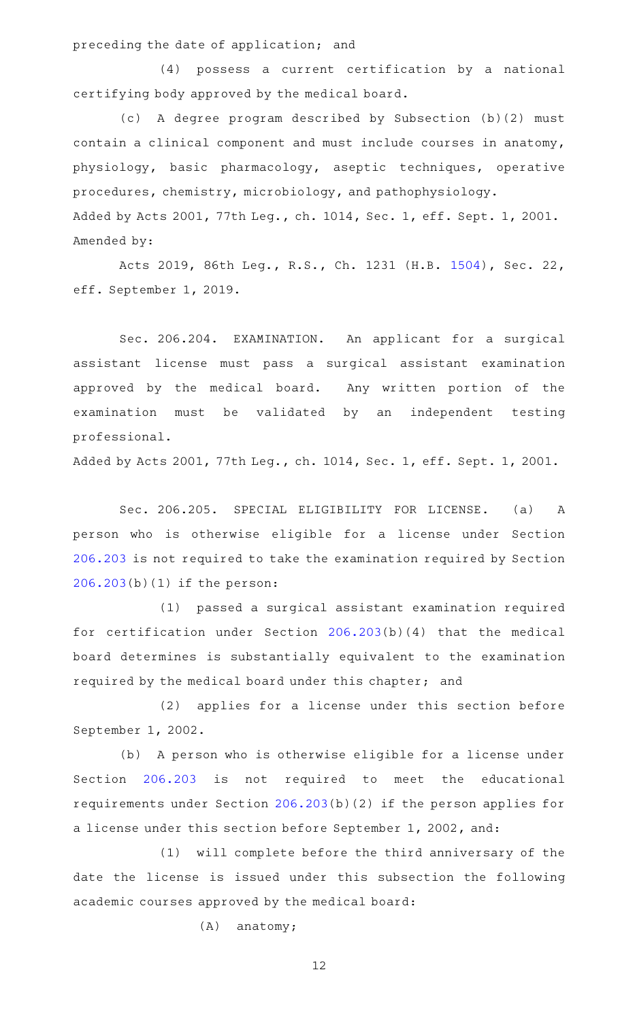preceding the date of application; and

 $(4)$  possess a current certification by a national certifying body approved by the medical board.

(c)AAA degree program described by Subsection (b)(2) must contain a clinical component and must include courses in anatomy, physiology, basic pharmacology, aseptic techniques, operative procedures, chemistry, microbiology, and pathophysiology. Added by Acts 2001, 77th Leg., ch. 1014, Sec. 1, eff. Sept. 1, 2001. Amended by:

Acts 2019, 86th Leg., R.S., Ch. 1231 (H.B. [1504](http://www.legis.state.tx.us/tlodocs/86R/billtext/html/HB01504F.HTM)), Sec. 22, eff. September 1, 2019.

Sec. 206.204. EXAMINATION. An applicant for a surgical assistant license must pass a surgical assistant examination approved by the medical board. Any written portion of the examination must be validated by an independent testing professional.

Added by Acts 2001, 77th Leg., ch. 1014, Sec. 1, eff. Sept. 1, 2001.

Sec. 206.205. SPECIAL ELIGIBILITY FOR LICENSE. (a) A person who is otherwise eligible for a license under Section [206.203](http://www.statutes.legis.state.tx.us/GetStatute.aspx?Code=OC&Value=206.203) is not required to take the examination required by Section [206.203\(](http://www.statutes.legis.state.tx.us/GetStatute.aspx?Code=OC&Value=206.203)b)(1) if the person:

(1) passed a surgical assistant examination required for certification under Section [206.203\(](http://www.statutes.legis.state.tx.us/GetStatute.aspx?Code=OC&Value=206.203)b)(4) that the medical board determines is substantially equivalent to the examination required by the medical board under this chapter; and

(2) applies for a license under this section before September 1, 2002.

(b) A person who is otherwise eligible for a license under Section [206.203](http://www.statutes.legis.state.tx.us/GetStatute.aspx?Code=OC&Value=206.203) is not required to meet the educational requirements under Section [206.203](http://www.statutes.legis.state.tx.us/GetStatute.aspx?Code=OC&Value=206.203)(b)(2) if the person applies for a license under this section before September 1, 2002, and:

(1) will complete before the third anniversary of the date the license is issued under this subsection the following academic courses approved by the medical board:

 $(A)$  anatomy;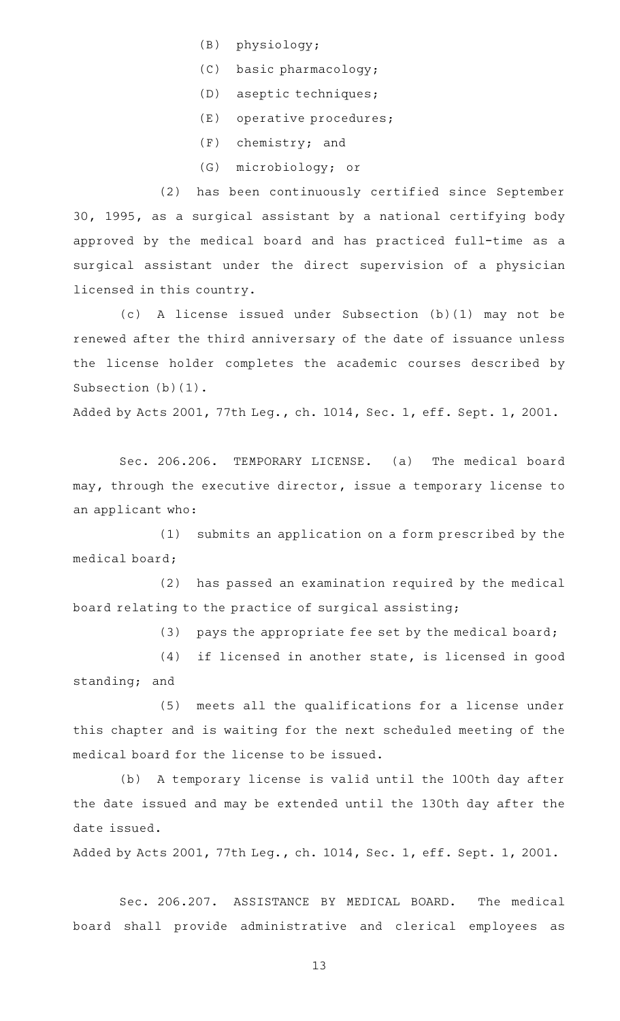- (B) physiology;
- $(C)$  basic pharmacology;
- (D) aseptic techniques;
- (E) operative procedures;
- $(F)$  chemistry; and
- (G) microbiology; or

(2) has been continuously certified since September 30, 1995, as a surgical assistant by a national certifying body approved by the medical board and has practiced full-time as a surgical assistant under the direct supervision of a physician licensed in this country.

(c)AAA license issued under Subsection (b)(1) may not be renewed after the third anniversary of the date of issuance unless the license holder completes the academic courses described by Subsection (b)(1).

Added by Acts 2001, 77th Leg., ch. 1014, Sec. 1, eff. Sept. 1, 2001.

Sec. 206.206. TEMPORARY LICENSE. (a) The medical board may, through the executive director, issue a temporary license to an applicant who:

(1) submits an application on a form prescribed by the medical board;

(2) has passed an examination required by the medical board relating to the practice of surgical assisting;

(3) pays the appropriate fee set by the medical board;

 $(4)$  if licensed in another state, is licensed in good standing; and

(5) meets all the qualifications for a license under this chapter and is waiting for the next scheduled meeting of the medical board for the license to be issued.

(b) A temporary license is valid until the 100th day after the date issued and may be extended until the 130th day after the date issued.

Added by Acts 2001, 77th Leg., ch. 1014, Sec. 1, eff. Sept. 1, 2001.

Sec. 206.207. ASSISTANCE BY MEDICAL BOARD. The medical board shall provide administrative and clerical employees as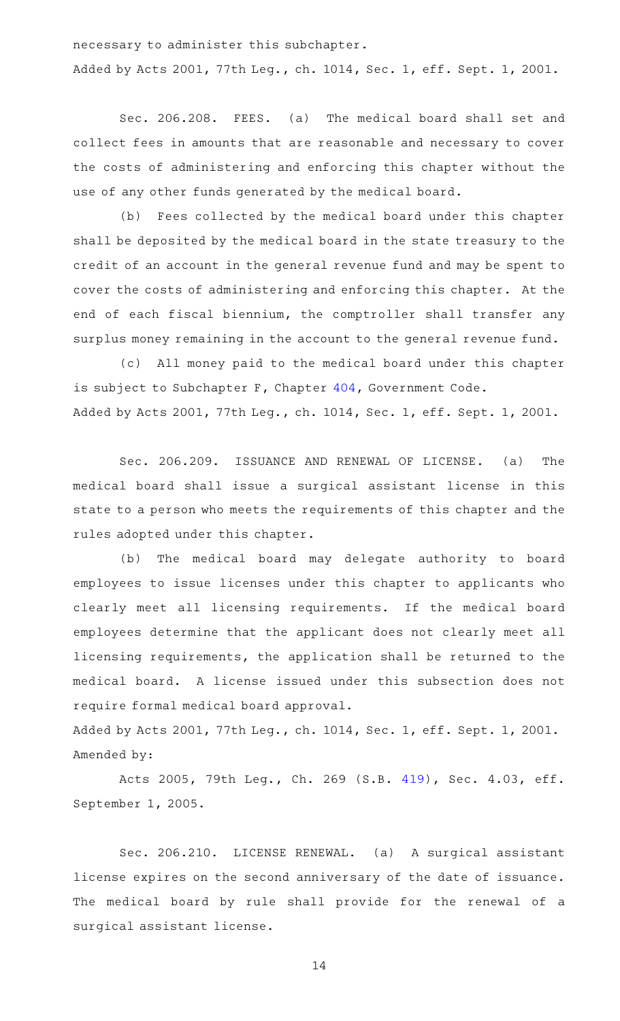necessary to administer this subchapter. Added by Acts 2001, 77th Leg., ch. 1014, Sec. 1, eff. Sept. 1, 2001.

Sec. 206.208. FEES. (a) The medical board shall set and collect fees in amounts that are reasonable and necessary to cover the costs of administering and enforcing this chapter without the use of any other funds generated by the medical board.

(b) Fees collected by the medical board under this chapter shall be deposited by the medical board in the state treasury to the credit of an account in the general revenue fund and may be spent to cover the costs of administering and enforcing this chapter. At the end of each fiscal biennium, the comptroller shall transfer any surplus money remaining in the account to the general revenue fund.

(c) All money paid to the medical board under this chapter is subject to Subchapter F, Chapter [404](http://www.statutes.legis.state.tx.us/GetStatute.aspx?Code=GV&Value=404), Government Code. Added by Acts 2001, 77th Leg., ch. 1014, Sec. 1, eff. Sept. 1, 2001.

Sec. 206.209. ISSUANCE AND RENEWAL OF LICENSE. (a) The medical board shall issue a surgical assistant license in this state to a person who meets the requirements of this chapter and the rules adopted under this chapter.

(b) The medical board may delegate authority to board employees to issue licenses under this chapter to applicants who clearly meet all licensing requirements. If the medical board employees determine that the applicant does not clearly meet all licensing requirements, the application shall be returned to the medical board. A license issued under this subsection does not require formal medical board approval.

Added by Acts 2001, 77th Leg., ch. 1014, Sec. 1, eff. Sept. 1, 2001. Amended by:

Acts 2005, 79th Leg., Ch. 269 (S.B. [419](http://www.legis.state.tx.us/tlodocs/79R/billtext/html/SB00419F.HTM)), Sec. 4.03, eff. September 1, 2005.

Sec. 206.210. LICENSE RENEWAL. (a) A surgical assistant license expires on the second anniversary of the date of issuance. The medical board by rule shall provide for the renewal of a surgical assistant license.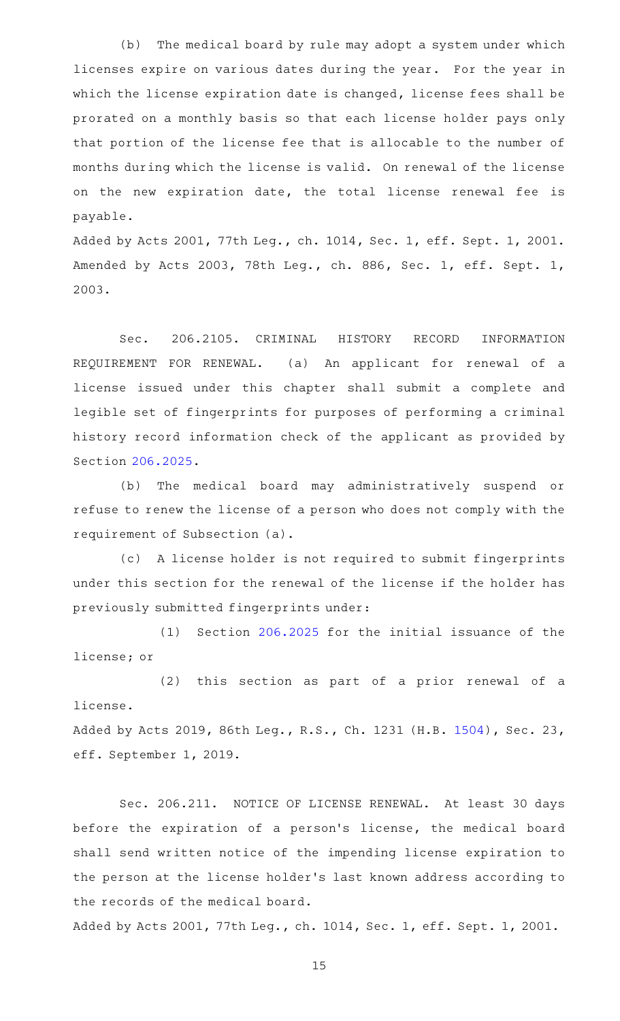(b) The medical board by rule may adopt a system under which licenses expire on various dates during the year. For the year in which the license expiration date is changed, license fees shall be prorated on a monthly basis so that each license holder pays only that portion of the license fee that is allocable to the number of months during which the license is valid. On renewal of the license on the new expiration date, the total license renewal fee is payable.

Added by Acts 2001, 77th Leg., ch. 1014, Sec. 1, eff. Sept. 1, 2001. Amended by Acts 2003, 78th Leg., ch. 886, Sec. 1, eff. Sept. 1, 2003.

Sec. 206.2105. CRIMINAL HISTORY RECORD INFORMATION REQUIREMENT FOR RENEWAL. (a) An applicant for renewal of a license issued under this chapter shall submit a complete and legible set of fingerprints for purposes of performing a criminal history record information check of the applicant as provided by Section [206.2025](http://www.statutes.legis.state.tx.us/GetStatute.aspx?Code=OC&Value=206.2025).

(b) The medical board may administratively suspend or refuse to renew the license of a person who does not comply with the requirement of Subsection (a).

(c)AAA license holder is not required to submit fingerprints under this section for the renewal of the license if the holder has previously submitted fingerprints under:

 $(1)$  Section [206.2025](http://www.statutes.legis.state.tx.us/GetStatute.aspx?Code=OC&Value=206.2025) for the initial issuance of the license; or

(2) this section as part of a prior renewal of a license. Added by Acts 2019, 86th Leg., R.S., Ch. 1231 (H.B. [1504](http://www.legis.state.tx.us/tlodocs/86R/billtext/html/HB01504F.HTM)), Sec. 23,

eff. September 1, 2019.

Sec. 206.211. NOTICE OF LICENSE RENEWAL. At least 30 days before the expiration of a person's license, the medical board shall send written notice of the impending license expiration to the person at the license holder 's last known address according to the records of the medical board.

Added by Acts 2001, 77th Leg., ch. 1014, Sec. 1, eff. Sept. 1, 2001.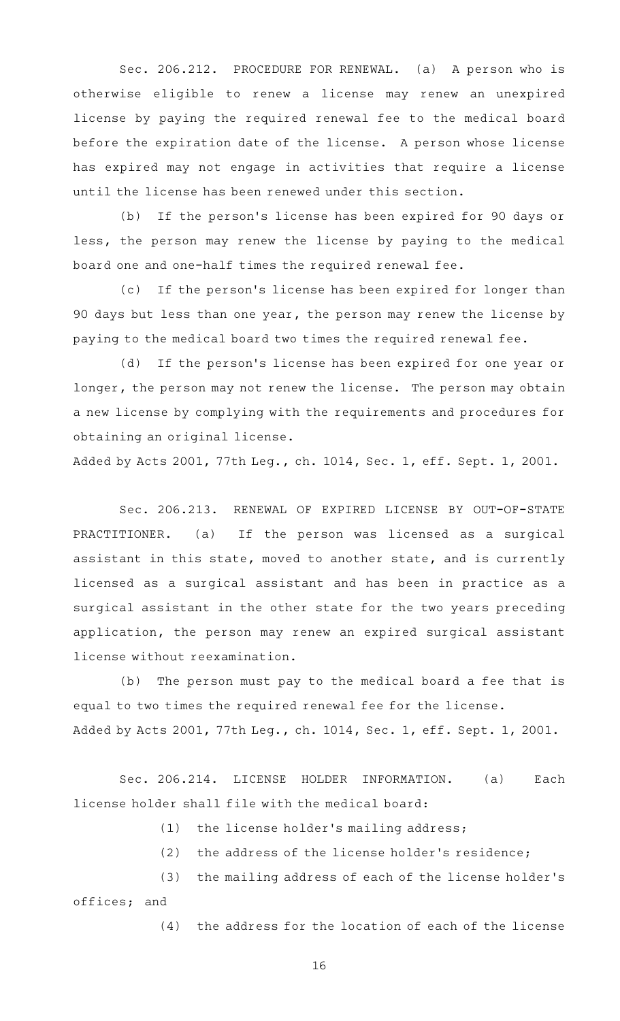Sec. 206.212. PROCEDURE FOR RENEWAL. (a) A person who is otherwise eligible to renew a license may renew an unexpired license by paying the required renewal fee to the medical board before the expiration date of the license. A person whose license has expired may not engage in activities that require a license until the license has been renewed under this section.

(b) If the person's license has been expired for 90 days or less, the person may renew the license by paying to the medical board one and one-half times the required renewal fee.

(c) If the person's license has been expired for longer than 90 days but less than one year, the person may renew the license by paying to the medical board two times the required renewal fee.

(d) If the person's license has been expired for one year or longer, the person may not renew the license. The person may obtain a new license by complying with the requirements and procedures for obtaining an original license.

Added by Acts 2001, 77th Leg., ch. 1014, Sec. 1, eff. Sept. 1, 2001.

Sec. 206.213. RENEWAL OF EXPIRED LICENSE BY OUT-OF-STATE PRACTITIONER. (a) If the person was licensed as a surgical assistant in this state, moved to another state, and is currently licensed as a surgical assistant and has been in practice as a surgical assistant in the other state for the two years preceding application, the person may renew an expired surgical assistant license without reexamination.

(b) The person must pay to the medical board a fee that is equal to two times the required renewal fee for the license. Added by Acts 2001, 77th Leg., ch. 1014, Sec. 1, eff. Sept. 1, 2001.

Sec. 206.214. LICENSE HOLDER INFORMATION. (a) Each license holder shall file with the medical board:

 $(1)$  the license holder's mailing address;

(2) the address of the license holder's residence;

(3) the mailing address of each of the license holder's offices; and

 $(4)$  the address for the location of each of the license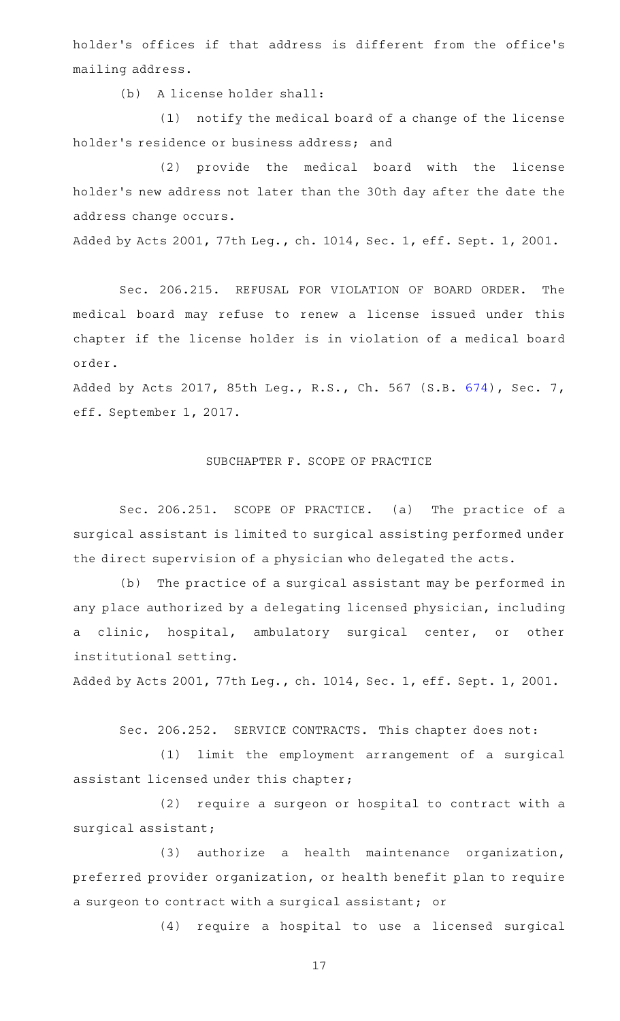holder 's offices if that address is different from the office 's mailing address.

(b) A license holder shall:

(1) notify the medical board of a change of the license holder 's residence or business address; and

(2) provide the medical board with the license holder 's new address not later than the 30th day after the date the address change occurs.

Added by Acts 2001, 77th Leg., ch. 1014, Sec. 1, eff. Sept. 1, 2001.

Sec. 206.215. REFUSAL FOR VIOLATION OF BOARD ORDER. The medical board may refuse to renew a license issued under this chapter if the license holder is in violation of a medical board order.

Added by Acts 2017, 85th Leg., R.S., Ch. 567 (S.B. [674](http://www.legis.state.tx.us/tlodocs/85R/billtext/html/SB00674F.HTM)), Sec. 7, eff. September 1, 2017.

# SUBCHAPTER F. SCOPE OF PRACTICE

Sec. 206.251. SCOPE OF PRACTICE. (a) The practice of a surgical assistant is limited to surgical assisting performed under the direct supervision of a physician who delegated the acts.

(b) The practice of a surgical assistant may be performed in any place authorized by a delegating licensed physician, including a clinic, hospital, ambulatory surgical center, or other institutional setting.

Added by Acts 2001, 77th Leg., ch. 1014, Sec. 1, eff. Sept. 1, 2001.

Sec. 206.252. SERVICE CONTRACTS. This chapter does not:

(1) limit the employment arrangement of a surgical assistant licensed under this chapter;

(2) require a surgeon or hospital to contract with a surgical assistant;

 $(3)$  authorize a health maintenance organization, preferred provider organization, or health benefit plan to require a surgeon to contract with a surgical assistant; or

(4) require a hospital to use a licensed surgical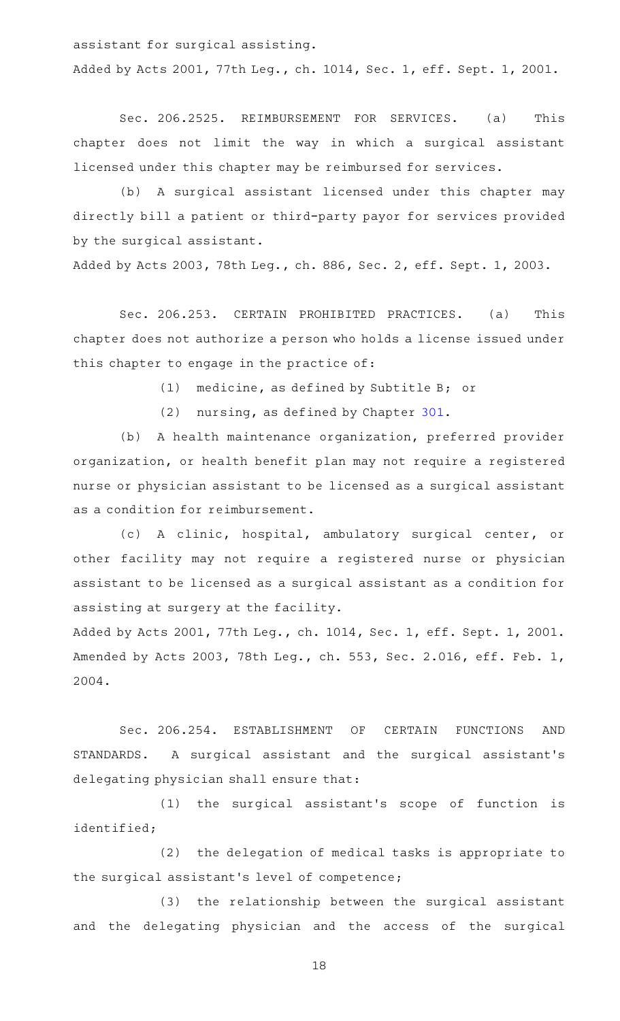assistant for surgical assisting. Added by Acts 2001, 77th Leg., ch. 1014, Sec. 1, eff. Sept. 1, 2001.

Sec. 206.2525. REIMBURSEMENT FOR SERVICES. (a) This chapter does not limit the way in which a surgical assistant licensed under this chapter may be reimbursed for services.

(b) A surgical assistant licensed under this chapter may directly bill a patient or third-party payor for services provided by the surgical assistant.

Added by Acts 2003, 78th Leg., ch. 886, Sec. 2, eff. Sept. 1, 2003.

Sec. 206.253. CERTAIN PROHIBITED PRACTICES. (a) This chapter does not authorize a person who holds a license issued under this chapter to engage in the practice of:

 $(1)$  medicine, as defined by Subtitle B; or

 $(2)$  nursing, as defined by Chapter [301](http://www.statutes.legis.state.tx.us/GetStatute.aspx?Code=OC&Value=301).

(b) A health maintenance organization, preferred provider organization, or health benefit plan may not require a registered nurse or physician assistant to be licensed as a surgical assistant as a condition for reimbursement.

(c) A clinic, hospital, ambulatory surgical center, or other facility may not require a registered nurse or physician assistant to be licensed as a surgical assistant as a condition for assisting at surgery at the facility.

Added by Acts 2001, 77th Leg., ch. 1014, Sec. 1, eff. Sept. 1, 2001. Amended by Acts 2003, 78th Leg., ch. 553, Sec. 2.016, eff. Feb. 1, 2004.

Sec. 206.254. ESTABLISHMENT OF CERTAIN FUNCTIONS AND STANDARDS. A surgical assistant and the surgical assistant 's delegating physician shall ensure that:

(1) the surgical assistant's scope of function is identified;

(2) the delegation of medical tasks is appropriate to the surgical assistant 's level of competence;

(3) the relationship between the surgical assistant and the delegating physician and the access of the surgical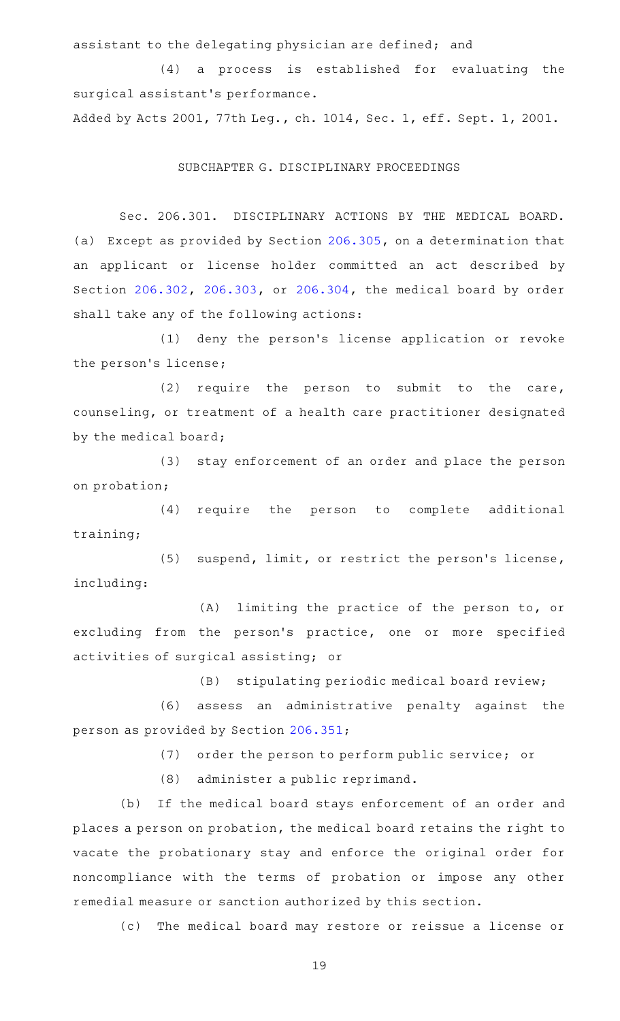assistant to the delegating physician are defined; and

(4) a process is established for evaluating the surgical assistant 's performance.

Added by Acts 2001, 77th Leg., ch. 1014, Sec. 1, eff. Sept. 1, 2001.

# SUBCHAPTER G. DISCIPLINARY PROCEEDINGS

Sec. 206.301. DISCIPLINARY ACTIONS BY THE MEDICAL BOARD. (a) Except as provided by Section [206.305](http://www.statutes.legis.state.tx.us/GetStatute.aspx?Code=OC&Value=206.305), on a determination that an applicant or license holder committed an act described by Section [206.302,](http://www.statutes.legis.state.tx.us/GetStatute.aspx?Code=OC&Value=206.302) [206.303,](http://www.statutes.legis.state.tx.us/GetStatute.aspx?Code=OC&Value=206.303) or [206.304](http://www.statutes.legis.state.tx.us/GetStatute.aspx?Code=OC&Value=206.304), the medical board by order shall take any of the following actions:

(1) deny the person's license application or revoke the person's license;

(2) require the person to submit to the care, counseling, or treatment of a health care practitioner designated by the medical board;

(3) stay enforcement of an order and place the person on probation;

(4) require the person to complete additional training;

(5) suspend, limit, or restrict the person's license, including:

 $(A)$  limiting the practice of the person to, or excluding from the person's practice, one or more specified activities of surgical assisting; or

 $(B)$  stipulating periodic medical board review;

(6) assess an administrative penalty against the person as provided by Section [206.351;](http://www.statutes.legis.state.tx.us/GetStatute.aspx?Code=OC&Value=206.351)

(7) order the person to perform public service; or

 $(8)$  administer a public reprimand.

(b) If the medical board stays enforcement of an order and places a person on probation, the medical board retains the right to vacate the probationary stay and enforce the original order for noncompliance with the terms of probation or impose any other remedial measure or sanction authorized by this section.

(c) The medical board may restore or reissue a license or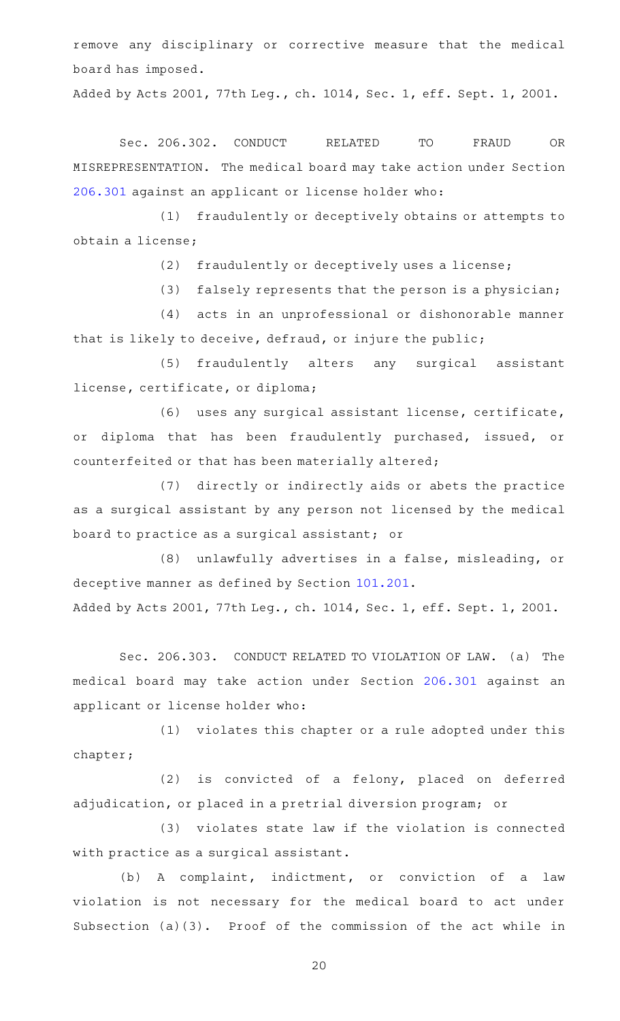remove any disciplinary or corrective measure that the medical board has imposed.

Added by Acts 2001, 77th Leg., ch. 1014, Sec. 1, eff. Sept. 1, 2001.

Sec. 206.302. CONDUCT RELATED TO FRAUD OR MISREPRESENTATION. The medical board may take action under Section [206.301](http://www.statutes.legis.state.tx.us/GetStatute.aspx?Code=OC&Value=206.301) against an applicant or license holder who:

(1) fraudulently or deceptively obtains or attempts to obtain a license;

(2) fraudulently or deceptively uses a license;

 $(3)$  falsely represents that the person is a physician;

(4) acts in an unprofessional or dishonorable manner that is likely to deceive, defraud, or injure the public;

(5) fraudulently alters any surgical assistant license, certificate, or diploma;

(6) uses any surgical assistant license, certificate, or diploma that has been fraudulently purchased, issued, or counterfeited or that has been materially altered;

(7) directly or indirectly aids or abets the practice as a surgical assistant by any person not licensed by the medical board to practice as a surgical assistant; or

(8) unlawfully advertises in a false, misleading, or deceptive manner as defined by Section [101.201](http://www.statutes.legis.state.tx.us/GetStatute.aspx?Code=OC&Value=101.201).

Added by Acts 2001, 77th Leg., ch. 1014, Sec. 1, eff. Sept. 1, 2001.

Sec. 206.303. CONDUCT RELATED TO VIOLATION OF LAW. (a) The medical board may take action under Section [206.301](http://www.statutes.legis.state.tx.us/GetStatute.aspx?Code=OC&Value=206.301) against an applicant or license holder who:

(1) violates this chapter or a rule adopted under this chapter;

(2) is convicted of a felony, placed on deferred adjudication, or placed in a pretrial diversion program; or

(3) violates state law if the violation is connected with practice as a surgical assistant.

(b) A complaint, indictment, or conviction of a law violation is not necessary for the medical board to act under Subsection (a)(3). Proof of the commission of the act while in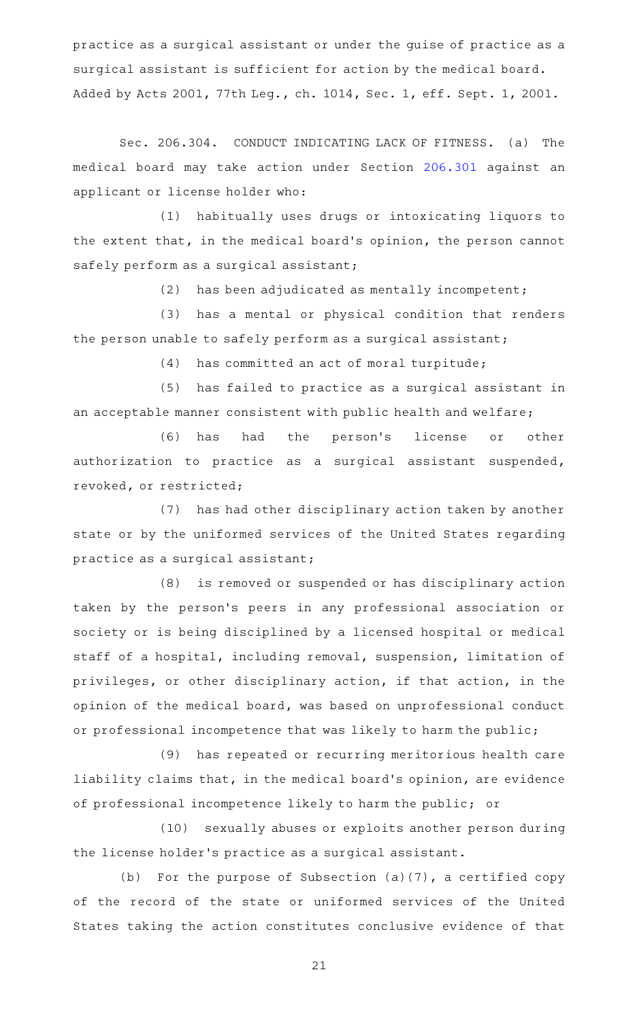practice as a surgical assistant or under the guise of practice as a surgical assistant is sufficient for action by the medical board. Added by Acts 2001, 77th Leg., ch. 1014, Sec. 1, eff. Sept. 1, 2001.

Sec. 206.304. CONDUCT INDICATING LACK OF FITNESS. (a) The medical board may take action under Section [206.301](http://www.statutes.legis.state.tx.us/GetStatute.aspx?Code=OC&Value=206.301) against an applicant or license holder who:

(1) habitually uses drugs or intoxicating liquors to the extent that, in the medical board's opinion, the person cannot safely perform as a surgical assistant;

(2) has been adjudicated as mentally incompetent;

(3) has a mental or physical condition that renders the person unable to safely perform as a surgical assistant;

 $(4)$  has committed an act of moral turpitude;

(5) has failed to practice as a surgical assistant in an acceptable manner consistent with public health and welfare;

(6) has had the person's license or other authorization to practice as a surgical assistant suspended, revoked, or restricted;

(7) has had other disciplinary action taken by another state or by the uniformed services of the United States regarding practice as a surgical assistant;

(8) is removed or suspended or has disciplinary action taken by the person 's peers in any professional association or society or is being disciplined by a licensed hospital or medical staff of a hospital, including removal, suspension, limitation of privileges, or other disciplinary action, if that action, in the opinion of the medical board, was based on unprofessional conduct or professional incompetence that was likely to harm the public;

(9) has repeated or recurring meritorious health care liability claims that, in the medical board's opinion, are evidence of professional incompetence likely to harm the public; or

(10) sexually abuses or exploits another person during the license holder 's practice as a surgical assistant.

(b) For the purpose of Subsection (a)(7), a certified copy of the record of the state or uniformed services of the United States taking the action constitutes conclusive evidence of that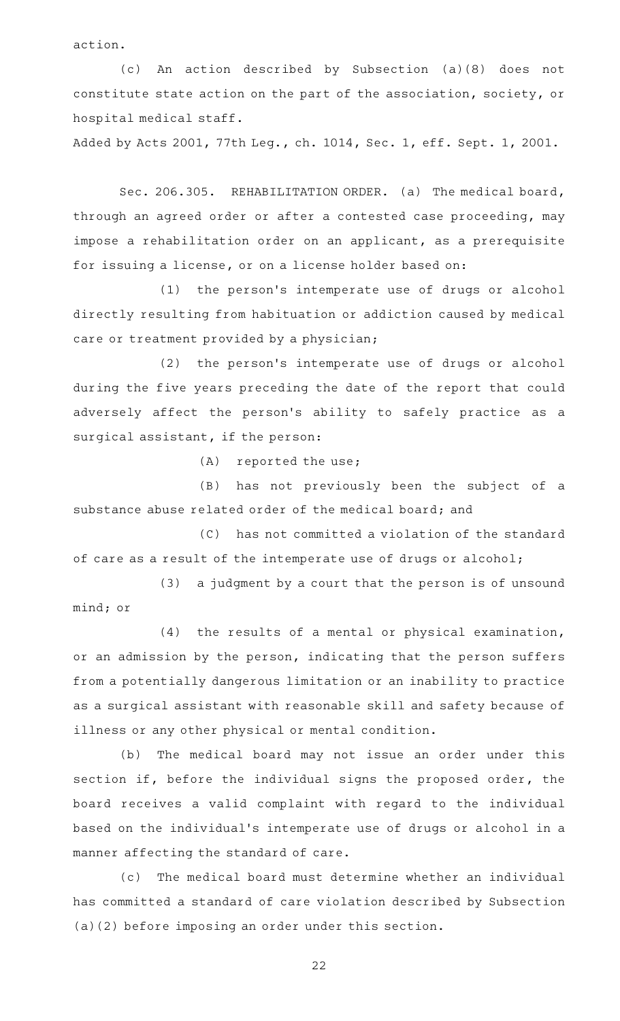action.

(c) An action described by Subsection (a)(8) does not constitute state action on the part of the association, society, or hospital medical staff.

Added by Acts 2001, 77th Leg., ch. 1014, Sec. 1, eff. Sept. 1, 2001.

Sec. 206.305. REHABILITATION ORDER. (a) The medical board, through an agreed order or after a contested case proceeding, may impose a rehabilitation order on an applicant, as a prerequisite for issuing a license, or on a license holder based on:

(1) the person's intemperate use of drugs or alcohol directly resulting from habituation or addiction caused by medical care or treatment provided by a physician;

(2) the person's intemperate use of drugs or alcohol during the five years preceding the date of the report that could adversely affect the person's ability to safely practice as a surgical assistant, if the person:

 $(A)$  reported the use;

(B) has not previously been the subject of a substance abuse related order of the medical board; and

(C) has not committed a violation of the standard of care as a result of the intemperate use of drugs or alcohol;

 $(3)$  a judgment by a court that the person is of unsound mind; or

 $(4)$  the results of a mental or physical examination, or an admission by the person, indicating that the person suffers from a potentially dangerous limitation or an inability to practice as a surgical assistant with reasonable skill and safety because of illness or any other physical or mental condition.

(b) The medical board may not issue an order under this section if, before the individual signs the proposed order, the board receives a valid complaint with regard to the individual based on the individual 's intemperate use of drugs or alcohol in a manner affecting the standard of care.

(c) The medical board must determine whether an individual has committed a standard of care violation described by Subsection (a)(2) before imposing an order under this section.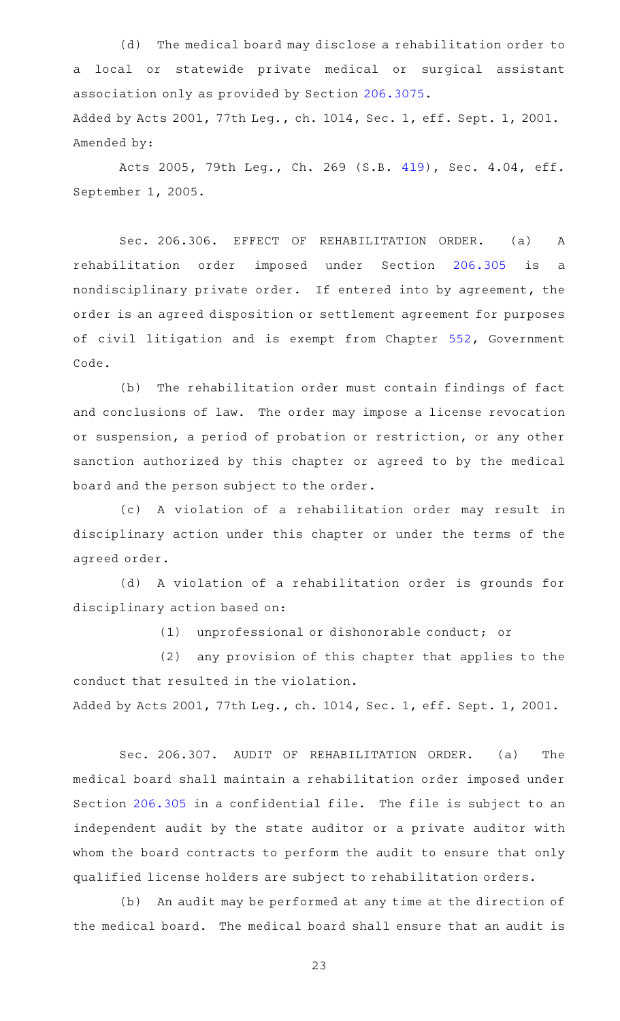(d) The medical board may disclose a rehabilitation order to a local or statewide private medical or surgical assistant association only as provided by Section [206.3075](http://www.statutes.legis.state.tx.us/GetStatute.aspx?Code=OC&Value=206.3075). Added by Acts 2001, 77th Leg., ch. 1014, Sec. 1, eff. Sept. 1, 2001. Amended by:

Acts 2005, 79th Leg., Ch. 269 (S.B. [419](http://www.legis.state.tx.us/tlodocs/79R/billtext/html/SB00419F.HTM)), Sec. 4.04, eff. September 1, 2005.

Sec. 206.306. EFFECT OF REHABILITATION ORDER. (a) A rehabilitation order imposed under Section [206.305](http://www.statutes.legis.state.tx.us/GetStatute.aspx?Code=OC&Value=206.305) is a nondisciplinary private order. If entered into by agreement, the order is an agreed disposition or settlement agreement for purposes of civil litigation and is exempt from Chapter [552](http://www.statutes.legis.state.tx.us/GetStatute.aspx?Code=GV&Value=552), Government Code.

(b) The rehabilitation order must contain findings of fact and conclusions of law. The order may impose a license revocation or suspension, a period of probation or restriction, or any other sanction authorized by this chapter or agreed to by the medical board and the person subject to the order.

(c)AAA violation of a rehabilitation order may result in disciplinary action under this chapter or under the terms of the agreed order.

(d)AAA violation of a rehabilitation order is grounds for disciplinary action based on:

(1) unprofessional or dishonorable conduct; or

(2) any provision of this chapter that applies to the conduct that resulted in the violation. Added by Acts 2001, 77th Leg., ch. 1014, Sec. 1, eff. Sept. 1, 2001.

Sec. 206.307. AUDIT OF REHABILITATION ORDER. (a) The medical board shall maintain a rehabilitation order imposed under Section [206.305](http://www.statutes.legis.state.tx.us/GetStatute.aspx?Code=OC&Value=206.305) in a confidential file. The file is subject to an independent audit by the state auditor or a private auditor with whom the board contracts to perform the audit to ensure that only qualified license holders are subject to rehabilitation orders.

(b) An audit may be performed at any time at the direction of the medical board. The medical board shall ensure that an audit is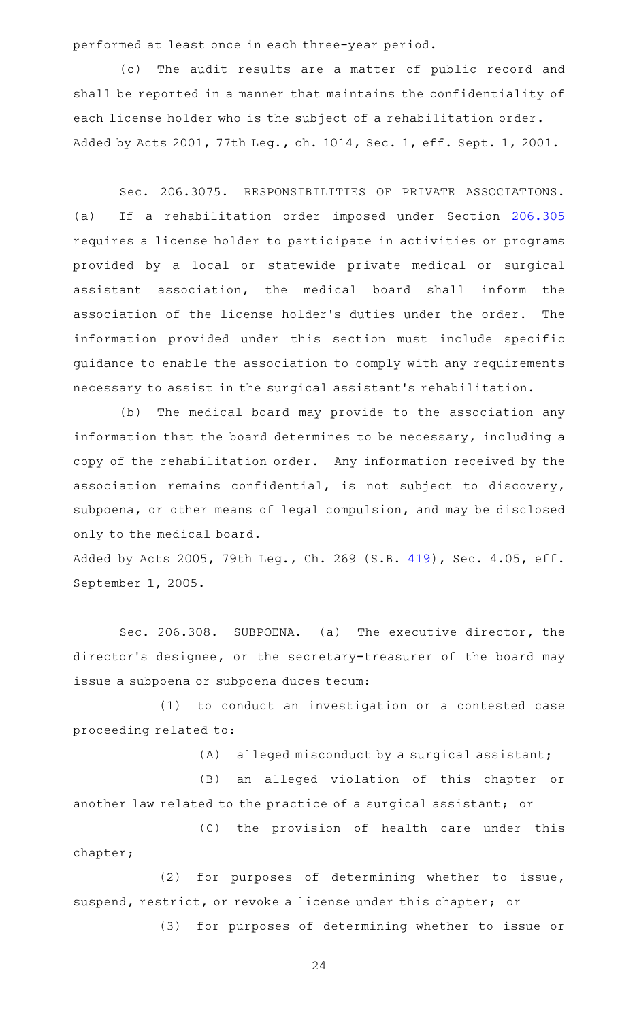performed at least once in each three-year period.

(c) The audit results are a matter of public record and shall be reported in a manner that maintains the confidentiality of each license holder who is the subject of a rehabilitation order. Added by Acts 2001, 77th Leg., ch. 1014, Sec. 1, eff. Sept. 1, 2001.

Sec. 206.3075. RESPONSIBILITIES OF PRIVATE ASSOCIATIONS. (a) If a rehabilitation order imposed under Section [206.305](http://www.statutes.legis.state.tx.us/GetStatute.aspx?Code=OC&Value=206.305) requires a license holder to participate in activities or programs provided by a local or statewide private medical or surgical assistant association, the medical board shall inform the association of the license holder's duties under the order. The information provided under this section must include specific guidance to enable the association to comply with any requirements necessary to assist in the surgical assistant 's rehabilitation.

(b) The medical board may provide to the association any information that the board determines to be necessary, including a copy of the rehabilitation order. Any information received by the association remains confidential, is not subject to discovery, subpoena, or other means of legal compulsion, and may be disclosed only to the medical board.

Added by Acts 2005, 79th Leg., Ch. 269 (S.B. [419](http://www.legis.state.tx.us/tlodocs/79R/billtext/html/SB00419F.HTM)), Sec. 4.05, eff. September 1, 2005.

Sec. 206.308. SUBPOENA. (a) The executive director, the director 's designee, or the secretary-treasurer of the board may issue a subpoena or subpoena duces tecum:

(1) to conduct an investigation or a contested case proceeding related to:

 $(A)$  alleged misconduct by a surgical assistant;

(B) an alleged violation of this chapter or another law related to the practice of a surgical assistant; or

(C) the provision of health care under this chapter;

(2) for purposes of determining whether to issue, suspend, restrict, or revoke a license under this chapter; or

(3) for purposes of determining whether to issue or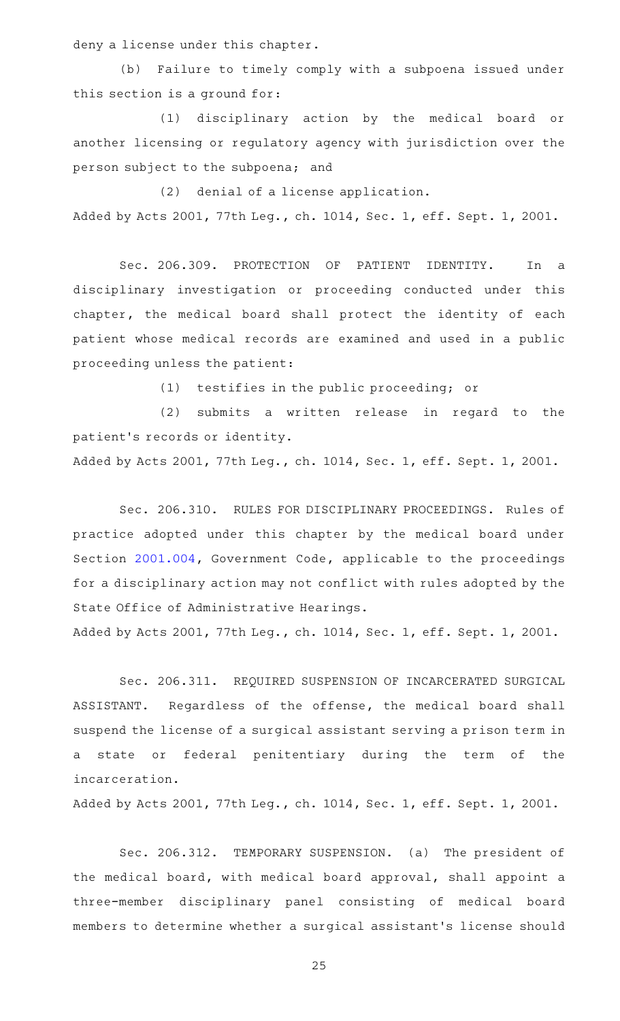deny a license under this chapter.

(b) Failure to timely comply with a subpoena issued under this section is a ground for:

(1) disciplinary action by the medical board or another licensing or regulatory agency with jurisdiction over the person subject to the subpoena; and

 $(2)$  denial of a license application. Added by Acts 2001, 77th Leg., ch. 1014, Sec. 1, eff. Sept. 1, 2001.

Sec. 206.309. PROTECTION OF PATIENT IDENTITY. In a disciplinary investigation or proceeding conducted under this chapter, the medical board shall protect the identity of each patient whose medical records are examined and used in a public proceeding unless the patient:

(1) testifies in the public proceeding; or

(2) submits a written release in regard to the patient 's records or identity.

Added by Acts 2001, 77th Leg., ch. 1014, Sec. 1, eff. Sept. 1, 2001.

Sec. 206.310. RULES FOR DISCIPLINARY PROCEEDINGS. Rules of practice adopted under this chapter by the medical board under Section [2001.004](http://www.statutes.legis.state.tx.us/GetStatute.aspx?Code=GV&Value=2001.004), Government Code, applicable to the proceedings for a disciplinary action may not conflict with rules adopted by the State Office of Administrative Hearings.

Added by Acts 2001, 77th Leg., ch. 1014, Sec. 1, eff. Sept. 1, 2001.

Sec. 206.311. REQUIRED SUSPENSION OF INCARCERATED SURGICAL ASSISTANT. Regardless of the offense, the medical board shall suspend the license of a surgical assistant serving a prison term in a state or federal penitentiary during the term of the incarceration.

Added by Acts 2001, 77th Leg., ch. 1014, Sec. 1, eff. Sept. 1, 2001.

Sec. 206.312. TEMPORARY SUSPENSION. (a) The president of the medical board, with medical board approval, shall appoint a three-member disciplinary panel consisting of medical board members to determine whether a surgical assistant 's license should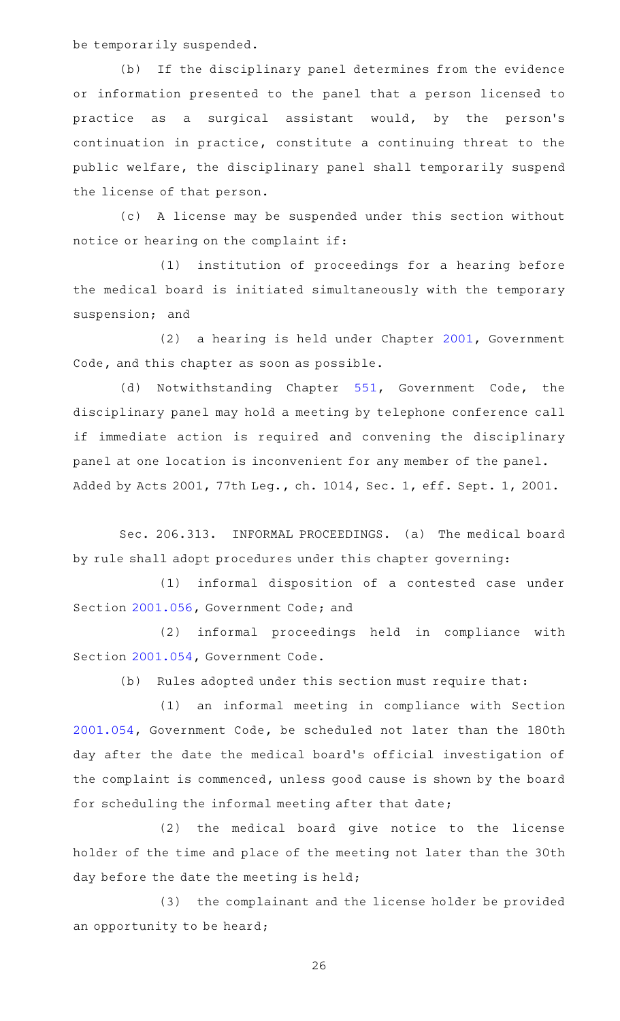be temporarily suspended.

(b) If the disciplinary panel determines from the evidence or information presented to the panel that a person licensed to practice as a surgical assistant would, by the person's continuation in practice, constitute a continuing threat to the public welfare, the disciplinary panel shall temporarily suspend the license of that person.

(c)AAA license may be suspended under this section without notice or hearing on the complaint if:

(1) institution of proceedings for a hearing before the medical board is initiated simultaneously with the temporary suspension; and

(2) a hearing is held under Chapter [2001](http://www.statutes.legis.state.tx.us/GetStatute.aspx?Code=GV&Value=2001), Government Code, and this chapter as soon as possible.

(d) Notwithstanding Chapter [551](http://www.statutes.legis.state.tx.us/GetStatute.aspx?Code=GV&Value=551), Government Code, the disciplinary panel may hold a meeting by telephone conference call if immediate action is required and convening the disciplinary panel at one location is inconvenient for any member of the panel. Added by Acts 2001, 77th Leg., ch. 1014, Sec. 1, eff. Sept. 1, 2001.

Sec. 206.313. INFORMAL PROCEEDINGS. (a) The medical board by rule shall adopt procedures under this chapter governing:

(1) informal disposition of a contested case under Section [2001.056](http://www.statutes.legis.state.tx.us/GetStatute.aspx?Code=GV&Value=2001.056), Government Code; and

(2) informal proceedings held in compliance with Section [2001.054](http://www.statutes.legis.state.tx.us/GetStatute.aspx?Code=GV&Value=2001.054), Government Code.

 $(b)$  Rules adopted under this section must require that:

(1) an informal meeting in compliance with Section [2001.054](http://www.statutes.legis.state.tx.us/GetStatute.aspx?Code=GV&Value=2001.054), Government Code, be scheduled not later than the 180th day after the date the medical board's official investigation of the complaint is commenced, unless good cause is shown by the board for scheduling the informal meeting after that date;

(2) the medical board give notice to the license holder of the time and place of the meeting not later than the 30th day before the date the meeting is held;

(3) the complainant and the license holder be provided an opportunity to be heard;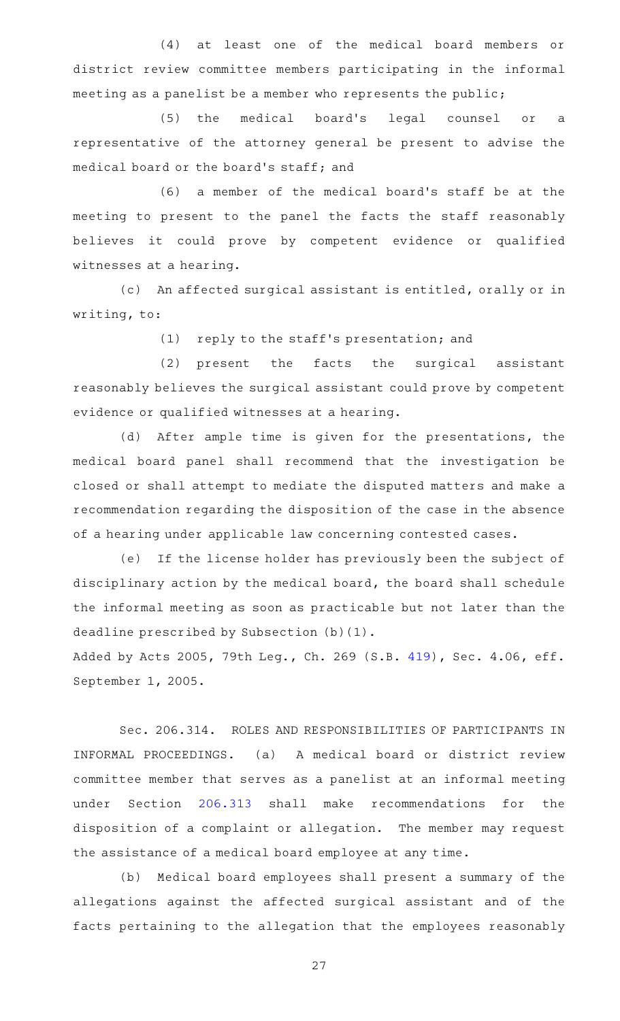(4) at least one of the medical board members or district review committee members participating in the informal meeting as a panelist be a member who represents the public;

(5) the medical board's legal counsel or a representative of the attorney general be present to advise the medical board or the board's staff; and

(6) a member of the medical board's staff be at the meeting to present to the panel the facts the staff reasonably believes it could prove by competent evidence or qualified witnesses at a hearing.

(c) An affected surgical assistant is entitled, orally or in writing, to:

(1) reply to the staff's presentation; and

(2) present the facts the surgical assistant reasonably believes the surgical assistant could prove by competent evidence or qualified witnesses at a hearing.

(d) After ample time is given for the presentations, the medical board panel shall recommend that the investigation be closed or shall attempt to mediate the disputed matters and make a recommendation regarding the disposition of the case in the absence of a hearing under applicable law concerning contested cases.

(e) If the license holder has previously been the subject of disciplinary action by the medical board, the board shall schedule the informal meeting as soon as practicable but not later than the deadline prescribed by Subsection (b)(1).

Added by Acts 2005, 79th Leg., Ch. 269 (S.B. [419](http://www.legis.state.tx.us/tlodocs/79R/billtext/html/SB00419F.HTM)), Sec. 4.06, eff. September 1, 2005.

Sec. 206.314. ROLES AND RESPONSIBILITIES OF PARTICIPANTS IN INFORMAL PROCEEDINGS. (a) A medical board or district review committee member that serves as a panelist at an informal meeting under Section [206.313](http://www.statutes.legis.state.tx.us/GetStatute.aspx?Code=OC&Value=206.313) shall make recommendations for the disposition of a complaint or allegation. The member may request the assistance of a medical board employee at any time.

(b) Medical board employees shall present a summary of the allegations against the affected surgical assistant and of the facts pertaining to the allegation that the employees reasonably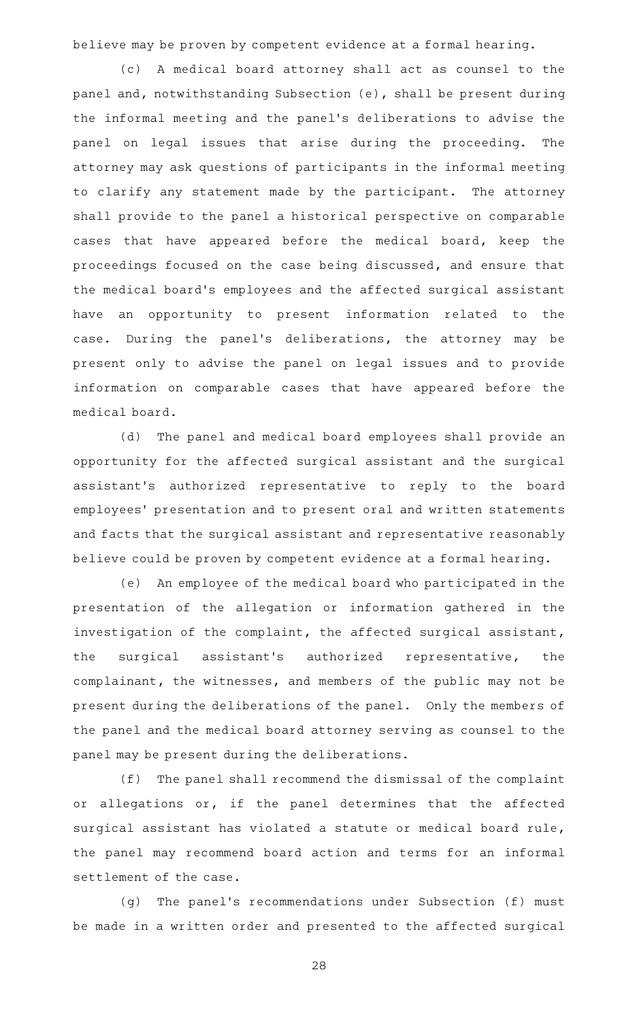believe may be proven by competent evidence at a formal hearing.

(c)AAA medical board attorney shall act as counsel to the panel and, notwithstanding Subsection (e), shall be present during the informal meeting and the panel 's deliberations to advise the panel on legal issues that arise during the proceeding. The attorney may ask questions of participants in the informal meeting to clarify any statement made by the participant. The attorney shall provide to the panel a historical perspective on comparable cases that have appeared before the medical board, keep the proceedings focused on the case being discussed, and ensure that the medical board's employees and the affected surgical assistant have an opportunity to present information related to the case. During the panel's deliberations, the attorney may be present only to advise the panel on legal issues and to provide information on comparable cases that have appeared before the medical board.

(d) The panel and medical board employees shall provide an opportunity for the affected surgical assistant and the surgical assistant 's authorized representative to reply to the board employees' presentation and to present oral and written statements and facts that the surgical assistant and representative reasonably believe could be proven by competent evidence at a formal hearing.

(e) An employee of the medical board who participated in the presentation of the allegation or information gathered in the investigation of the complaint, the affected surgical assistant, the surgical assistant 's authorized representative, the complainant, the witnesses, and members of the public may not be present during the deliberations of the panel. Only the members of the panel and the medical board attorney serving as counsel to the panel may be present during the deliberations.

 $(f)$  The panel shall recommend the dismissal of the complaint or allegations or, if the panel determines that the affected surgical assistant has violated a statute or medical board rule, the panel may recommend board action and terms for an informal settlement of the case.

(g) The panel's recommendations under Subsection (f) must be made in a written order and presented to the affected surgical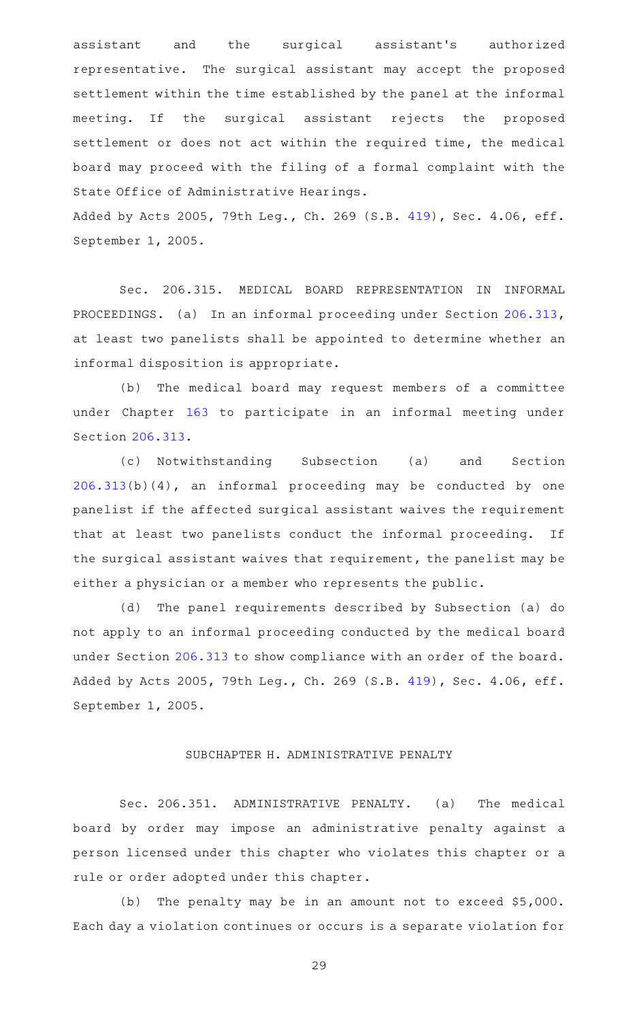assistant and the surgical assistant's authorized representative. The surgical assistant may accept the proposed settlement within the time established by the panel at the informal meeting. If the surgical assistant rejects the proposed settlement or does not act within the required time, the medical board may proceed with the filing of a formal complaint with the State Office of Administrative Hearings.

Added by Acts 2005, 79th Leg., Ch. 269 (S.B. [419](http://www.legis.state.tx.us/tlodocs/79R/billtext/html/SB00419F.HTM)), Sec. 4.06, eff. September 1, 2005.

Sec. 206.315. MEDICAL BOARD REPRESENTATION IN INFORMAL PROCEEDINGS. (a) In an informal proceeding under Section [206.313](http://www.statutes.legis.state.tx.us/GetStatute.aspx?Code=OC&Value=206.313), at least two panelists shall be appointed to determine whether an informal disposition is appropriate.

(b) The medical board may request members of a committee under Chapter [163](http://www.statutes.legis.state.tx.us/GetStatute.aspx?Code=OC&Value=163) to participate in an informal meeting under Section [206.313.](http://www.statutes.legis.state.tx.us/GetStatute.aspx?Code=OC&Value=206.313)

(c) Notwithstanding Subsection (a) and Section [206.313\(](http://www.statutes.legis.state.tx.us/GetStatute.aspx?Code=OC&Value=206.313)b)(4), an informal proceeding may be conducted by one panelist if the affected surgical assistant waives the requirement that at least two panelists conduct the informal proceeding. If the surgical assistant waives that requirement, the panelist may be either a physician or a member who represents the public.

(d) The panel requirements described by Subsection (a) do not apply to an informal proceeding conducted by the medical board under Section [206.313](http://www.statutes.legis.state.tx.us/GetStatute.aspx?Code=OC&Value=206.313) to show compliance with an order of the board. Added by Acts 2005, 79th Leg., Ch. 269 (S.B. [419](http://www.legis.state.tx.us/tlodocs/79R/billtext/html/SB00419F.HTM)), Sec. 4.06, eff. September 1, 2005.

## SUBCHAPTER H. ADMINISTRATIVE PENALTY

Sec. 206.351. ADMINISTRATIVE PENALTY. (a) The medical board by order may impose an administrative penalty against a person licensed under this chapter who violates this chapter or a rule or order adopted under this chapter.

(b) The penalty may be in an amount not to exceed  $$5,000$ . Each day a violation continues or occurs is a separate violation for